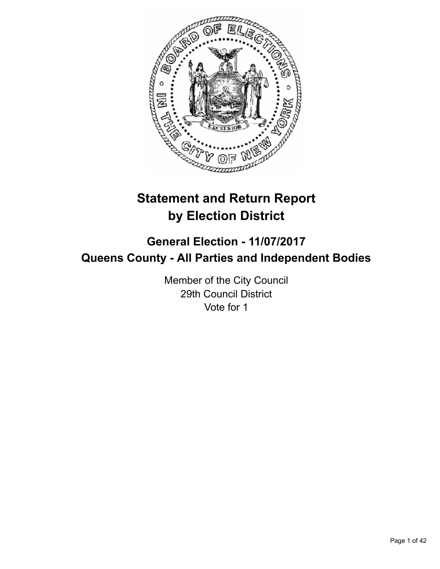

# **Statement and Return Report by Election District**

# **General Election - 11/07/2017 Queens County - All Parties and Independent Bodies**

Member of the City Council 29th Council District Vote for 1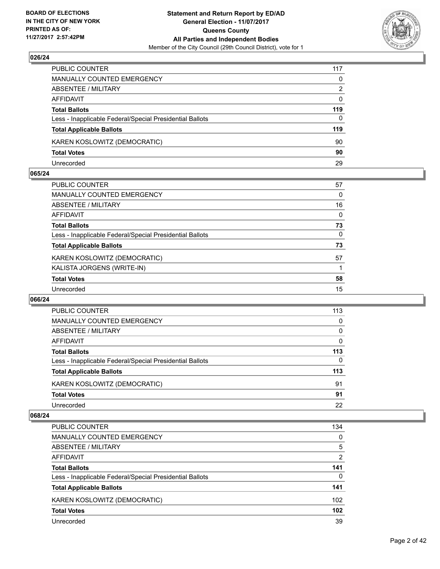

| PUBLIC COUNTER                                           | 117          |
|----------------------------------------------------------|--------------|
| <b>MANUALLY COUNTED EMERGENCY</b>                        | 0            |
| <b>ABSENTEE / MILITARY</b>                               | 2            |
| AFFIDAVIT                                                | $\mathbf{0}$ |
| <b>Total Ballots</b>                                     | 119          |
| Less - Inapplicable Federal/Special Presidential Ballots | $\Omega$     |
| <b>Total Applicable Ballots</b>                          | 119          |
| KAREN KOSLOWITZ (DEMOCRATIC)                             | 90           |
| <b>Total Votes</b>                                       | 90           |
| Unrecorded                                               | 29           |

#### **065/24**

| <b>PUBLIC COUNTER</b>                                    | 57       |
|----------------------------------------------------------|----------|
| <b>MANUALLY COUNTED EMERGENCY</b>                        | 0        |
| <b>ABSENTEE / MILITARY</b>                               | 16       |
| <b>AFFIDAVIT</b>                                         | $\Omega$ |
| <b>Total Ballots</b>                                     | 73       |
| Less - Inapplicable Federal/Special Presidential Ballots | $\Omega$ |
| <b>Total Applicable Ballots</b>                          | 73       |
| KAREN KOSLOWITZ (DEMOCRATIC)                             | 57       |
| KALISTA JORGENS (WRITE-IN)                               |          |
| <b>Total Votes</b>                                       | 58       |
| Unrecorded                                               | 15       |
|                                                          |          |

#### **066/24**

| <b>PUBLIC COUNTER</b>                                    | 113 |
|----------------------------------------------------------|-----|
| MANUALLY COUNTED EMERGENCY                               | 0   |
| ABSENTEE / MILITARY                                      | 0   |
| AFFIDAVIT                                                | 0   |
| <b>Total Ballots</b>                                     | 113 |
| Less - Inapplicable Federal/Special Presidential Ballots | 0   |
| <b>Total Applicable Ballots</b>                          | 113 |
| KAREN KOSLOWITZ (DEMOCRATIC)                             | 91  |
| <b>Total Votes</b>                                       | 91  |
| Unrecorded                                               | 22  |

| <b>PUBLIC COUNTER</b>                                    | 134 |
|----------------------------------------------------------|-----|
| <b>MANUALLY COUNTED EMERGENCY</b>                        | 0   |
| ABSENTEE / MILITARY                                      | 5   |
| AFFIDAVIT                                                | 2   |
| <b>Total Ballots</b>                                     | 141 |
| Less - Inapplicable Federal/Special Presidential Ballots | 0   |
| <b>Total Applicable Ballots</b>                          | 141 |
| KAREN KOSLOWITZ (DEMOCRATIC)                             | 102 |
| <b>Total Votes</b>                                       | 102 |
| Unrecorded                                               | 39  |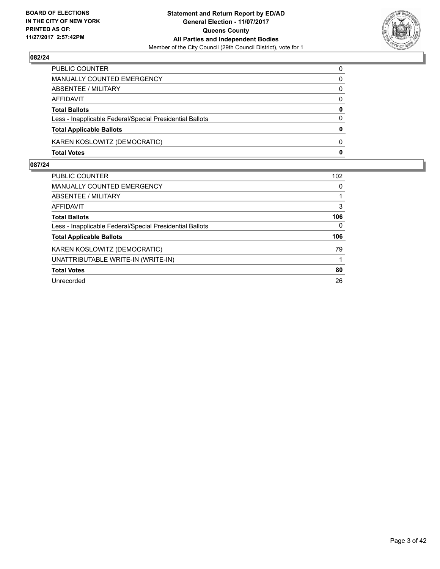

| PUBLIC COUNTER                                           | 0            |
|----------------------------------------------------------|--------------|
| MANUALLY COUNTED EMERGENCY                               | 0            |
| ABSENTEE / MILITARY                                      | 0            |
| <b>AFFIDAVIT</b>                                         | $\Omega$     |
| <b>Total Ballots</b>                                     | 0            |
| Less - Inapplicable Federal/Special Presidential Ballots | $\Omega$     |
| <b>Total Applicable Ballots</b>                          | 0            |
| KAREN KOSLOWITZ (DEMOCRATIC)                             | 0            |
| <b>Total Votes</b>                                       | $\mathbf{0}$ |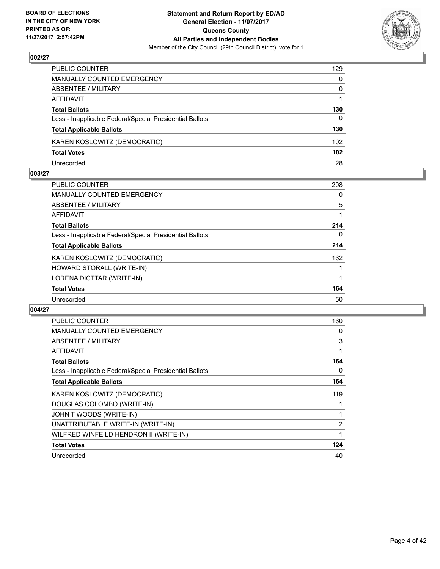

| PUBLIC COUNTER                                           | 129              |
|----------------------------------------------------------|------------------|
| <b>MANUALLY COUNTED EMERGENCY</b>                        | $\Omega$         |
| <b>ABSENTEE / MILITARY</b>                               | $\mathbf{0}$     |
| AFFIDAVIT                                                |                  |
| <b>Total Ballots</b>                                     | 130              |
| Less - Inapplicable Federal/Special Presidential Ballots | $\Omega$         |
| <b>Total Applicable Ballots</b>                          | 130              |
| KAREN KOSLOWITZ (DEMOCRATIC)                             | 102 <sub>2</sub> |
| <b>Total Votes</b>                                       | 102 <sub>2</sub> |
| Unrecorded                                               | 28               |

#### **003/27**

| PUBLIC COUNTER                                           | 208 |
|----------------------------------------------------------|-----|
| <b>MANUALLY COUNTED EMERGENCY</b>                        | 0   |
| ABSENTEE / MILITARY                                      | 5   |
| AFFIDAVIT                                                |     |
| <b>Total Ballots</b>                                     | 214 |
| Less - Inapplicable Federal/Special Presidential Ballots | 0   |
| <b>Total Applicable Ballots</b>                          | 214 |
| KAREN KOSLOWITZ (DEMOCRATIC)                             | 162 |
| HOWARD STORALL (WRITE-IN)                                |     |
| LORENA DICTTAR (WRITE-IN)                                |     |
| <b>Total Votes</b>                                       | 164 |
| Unrecorded                                               | 50  |
|                                                          |     |

| <b>PUBLIC COUNTER</b>                                    | 160 |
|----------------------------------------------------------|-----|
| <b>MANUALLY COUNTED EMERGENCY</b>                        | 0   |
| ABSENTEE / MILITARY                                      | 3   |
| <b>AFFIDAVIT</b>                                         |     |
| <b>Total Ballots</b>                                     | 164 |
| Less - Inapplicable Federal/Special Presidential Ballots | 0   |
| <b>Total Applicable Ballots</b>                          | 164 |
| KAREN KOSLOWITZ (DEMOCRATIC)                             | 119 |
| DOUGLAS COLOMBO (WRITE-IN)                               |     |
| JOHN T WOODS (WRITE-IN)                                  |     |
| UNATTRIBUTABLE WRITE-IN (WRITE-IN)                       | 2   |
| WILFRED WINFEILD HENDRON II (WRITE-IN)                   |     |
| <b>Total Votes</b>                                       | 124 |
|                                                          |     |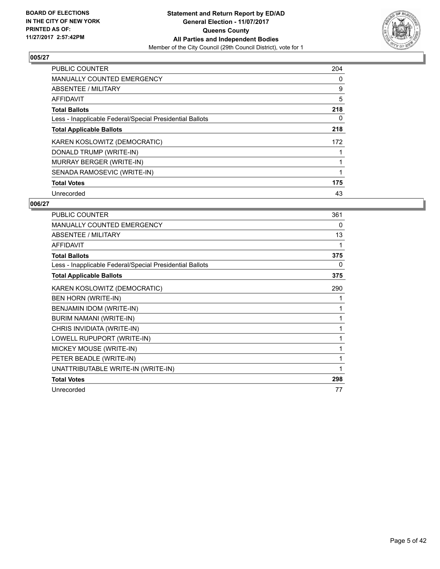

| <b>PUBLIC COUNTER</b>                                    | 204 |
|----------------------------------------------------------|-----|
| <b>MANUALLY COUNTED EMERGENCY</b>                        | 0   |
| ABSENTEE / MILITARY                                      | 9   |
| <b>AFFIDAVIT</b>                                         | 5   |
| <b>Total Ballots</b>                                     | 218 |
| Less - Inapplicable Federal/Special Presidential Ballots | 0   |
| <b>Total Applicable Ballots</b>                          | 218 |
| KAREN KOSLOWITZ (DEMOCRATIC)                             | 172 |
| DONALD TRUMP (WRITE-IN)                                  |     |
| <b>MURRAY BERGER (WRITE-IN)</b>                          |     |
| SENADA RAMOSEVIC (WRITE-IN)                              |     |
| <b>Total Votes</b>                                       | 175 |
| Unrecorded                                               | 43  |

| <b>PUBLIC COUNTER</b>                                    | 361 |
|----------------------------------------------------------|-----|
| <b>MANUALLY COUNTED EMERGENCY</b>                        | 0   |
| <b>ABSENTEE / MILITARY</b>                               | 13  |
| <b>AFFIDAVIT</b>                                         | 1   |
| <b>Total Ballots</b>                                     | 375 |
| Less - Inapplicable Federal/Special Presidential Ballots | 0   |
| <b>Total Applicable Ballots</b>                          | 375 |
| KAREN KOSLOWITZ (DEMOCRATIC)                             | 290 |
| <b>BEN HORN (WRITE-IN)</b>                               | 1   |
| BENJAMIN IDOM (WRITE-IN)                                 | 1   |
| <b>BURIM NAMANI (WRITE-IN)</b>                           | 1   |
| CHRIS INVIDIATA (WRITE-IN)                               | 1   |
| LOWELL RUPUPORT (WRITE-IN)                               | 1   |
| MICKEY MOUSE (WRITE-IN)                                  | 1   |
| PETER BEADLE (WRITE-IN)                                  | 1   |
| UNATTRIBUTABLE WRITE-IN (WRITE-IN)                       | 1   |
| <b>Total Votes</b>                                       | 298 |
| Unrecorded                                               | 77  |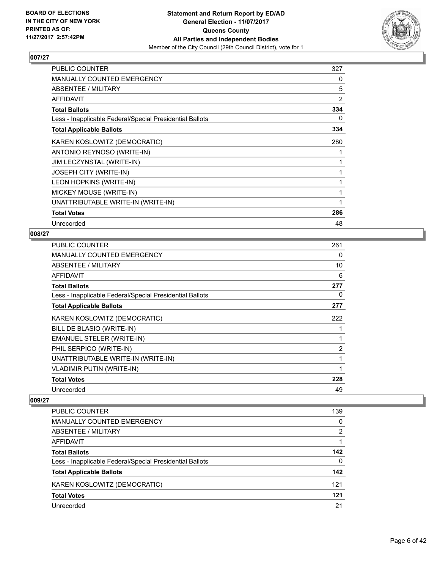

| <b>PUBLIC COUNTER</b>                                    | 327            |
|----------------------------------------------------------|----------------|
| <b>MANUALLY COUNTED EMERGENCY</b>                        | 0              |
| ABSENTEE / MILITARY                                      | 5              |
| AFFIDAVIT                                                | $\overline{2}$ |
| <b>Total Ballots</b>                                     | 334            |
| Less - Inapplicable Federal/Special Presidential Ballots | 0              |
| <b>Total Applicable Ballots</b>                          | 334            |
| KAREN KOSLOWITZ (DEMOCRATIC)                             | 280            |
| ANTONIO REYNOSO (WRITE-IN)                               |                |
| JIM LECZYNSTAL (WRITE-IN)                                |                |
| JOSEPH CITY (WRITE-IN)                                   |                |
| LEON HOPKINS (WRITE-IN)                                  | 1              |
| MICKEY MOUSE (WRITE-IN)                                  | 1              |
| UNATTRIBUTABLE WRITE-IN (WRITE-IN)                       | 1              |
| <b>Total Votes</b>                                       | 286            |
| Unrecorded                                               | 48             |

# **008/27**

| <b>PUBLIC COUNTER</b>                                    | 261 |
|----------------------------------------------------------|-----|
| <b>MANUALLY COUNTED EMERGENCY</b>                        | 0   |
| ABSENTEE / MILITARY                                      | 10  |
| AFFIDAVIT                                                | 6   |
| <b>Total Ballots</b>                                     | 277 |
| Less - Inapplicable Federal/Special Presidential Ballots | 0   |
| <b>Total Applicable Ballots</b>                          | 277 |
| KAREN KOSLOWITZ (DEMOCRATIC)                             | 222 |
| BILL DE BLASIO (WRITE-IN)                                |     |
| <b>EMANUEL STELER (WRITE-IN)</b>                         | 1   |
| PHIL SERPICO (WRITE-IN)                                  | 2   |
| UNATTRIBUTABLE WRITE-IN (WRITE-IN)                       | 1   |
| <b>VLADIMIR PUTIN (WRITE-IN)</b>                         | 1   |
| <b>Total Votes</b>                                       | 228 |
| Unrecorded                                               | 49  |

| PUBLIC COUNTER                                           | 139            |
|----------------------------------------------------------|----------------|
| <b>MANUALLY COUNTED EMERGENCY</b>                        | 0              |
| ABSENTEE / MILITARY                                      | $\overline{2}$ |
| AFFIDAVIT                                                |                |
| <b>Total Ballots</b>                                     | 142            |
| Less - Inapplicable Federal/Special Presidential Ballots | 0              |
| <b>Total Applicable Ballots</b>                          | 142            |
| KAREN KOSLOWITZ (DEMOCRATIC)                             | 121            |
| <b>Total Votes</b>                                       | 121            |
| Unrecorded                                               | 21             |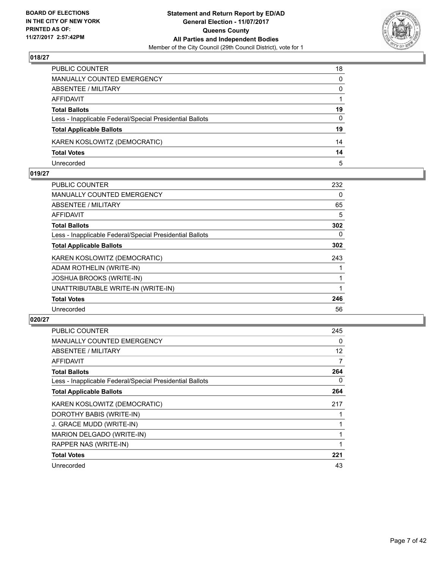

| PUBLIC COUNTER                                           | 18       |
|----------------------------------------------------------|----------|
| <b>MANUALLY COUNTED EMERGENCY</b>                        | 0        |
| ABSENTEE / MILITARY                                      | 0        |
| <b>AFFIDAVIT</b>                                         |          |
| <b>Total Ballots</b>                                     | 19       |
| Less - Inapplicable Federal/Special Presidential Ballots | $\Omega$ |
| <b>Total Applicable Ballots</b>                          | 19       |
| KAREN KOSLOWITZ (DEMOCRATIC)                             | 14       |
| <b>Total Votes</b>                                       | 14       |
| Unrecorded                                               | 5        |

#### **019/27**

| <b>PUBLIC COUNTER</b>                                    | 232 |
|----------------------------------------------------------|-----|
| <b>MANUALLY COUNTED EMERGENCY</b>                        | 0   |
| ABSENTEE / MILITARY                                      | 65  |
| AFFIDAVIT                                                | 5   |
| <b>Total Ballots</b>                                     | 302 |
| Less - Inapplicable Federal/Special Presidential Ballots | 0   |
| <b>Total Applicable Ballots</b>                          | 302 |
| KAREN KOSLOWITZ (DEMOCRATIC)                             | 243 |
| ADAM ROTHELIN (WRITE-IN)                                 |     |
| JOSHUA BROOKS (WRITE-IN)                                 |     |
| UNATTRIBUTABLE WRITE-IN (WRITE-IN)                       |     |
| <b>Total Votes</b>                                       | 246 |
| Unrecorded                                               | 56  |
|                                                          |     |

| <b>PUBLIC COUNTER</b>                                    | 245 |
|----------------------------------------------------------|-----|
| <b>MANUALLY COUNTED EMERGENCY</b>                        | 0   |
| <b>ABSENTEE / MILITARY</b>                               | 12  |
| AFFIDAVIT                                                | 7   |
| <b>Total Ballots</b>                                     | 264 |
| Less - Inapplicable Federal/Special Presidential Ballots | 0   |
| <b>Total Applicable Ballots</b>                          | 264 |
| KAREN KOSLOWITZ (DEMOCRATIC)                             | 217 |
| DOROTHY BABIS (WRITE-IN)                                 |     |
| J. GRACE MUDD (WRITE-IN)                                 |     |
| MARION DELGADO (WRITE-IN)                                |     |
| RAPPER NAS (WRITE-IN)                                    |     |
| <b>Total Votes</b>                                       | 221 |
| Unrecorded                                               | 43  |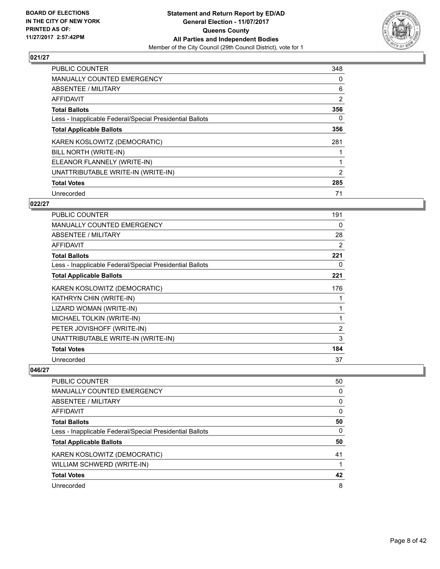

| <b>PUBLIC COUNTER</b>                                    | 348            |
|----------------------------------------------------------|----------------|
| MANUALLY COUNTED EMERGENCY                               | 0              |
| ABSENTEE / MILITARY                                      | 6              |
| <b>AFFIDAVIT</b>                                         | $\overline{2}$ |
| <b>Total Ballots</b>                                     | 356            |
| Less - Inapplicable Federal/Special Presidential Ballots | 0              |
| <b>Total Applicable Ballots</b>                          | 356            |
| KAREN KOSLOWITZ (DEMOCRATIC)                             | 281            |
| BILL NORTH (WRITE-IN)                                    |                |
| ELEANOR FLANNELY (WRITE-IN)                              |                |
| UNATTRIBUTABLE WRITE-IN (WRITE-IN)                       | 2              |
| <b>Total Votes</b>                                       | 285            |
| Unrecorded                                               | 71             |

## **022/27**

| <b>PUBLIC COUNTER</b>                                    | 191            |
|----------------------------------------------------------|----------------|
| <b>MANUALLY COUNTED EMERGENCY</b>                        | 0              |
| ABSENTEE / MILITARY                                      | 28             |
| AFFIDAVIT                                                | 2              |
| <b>Total Ballots</b>                                     | 221            |
| Less - Inapplicable Federal/Special Presidential Ballots | 0              |
| <b>Total Applicable Ballots</b>                          | 221            |
| KAREN KOSLOWITZ (DEMOCRATIC)                             | 176            |
| KATHRYN CHIN (WRITE-IN)                                  |                |
| LIZARD WOMAN (WRITE-IN)                                  |                |
| MICHAEL TOLKIN (WRITE-IN)                                |                |
| PETER JOVISHOFF (WRITE-IN)                               | $\overline{2}$ |
| UNATTRIBUTABLE WRITE-IN (WRITE-IN)                       | 3              |
| <b>Total Votes</b>                                       | 184            |
| Unrecorded                                               | 37             |

| PUBLIC COUNTER                                           | 50 |
|----------------------------------------------------------|----|
| MANUALLY COUNTED EMERGENCY                               | 0  |
| ABSENTEE / MILITARY                                      | 0  |
| AFFIDAVIT                                                | 0  |
| <b>Total Ballots</b>                                     | 50 |
| Less - Inapplicable Federal/Special Presidential Ballots | 0  |
| <b>Total Applicable Ballots</b>                          | 50 |
| KAREN KOSLOWITZ (DEMOCRATIC)                             | 41 |
| WILLIAM SCHWERD (WRITE-IN)                               |    |
| <b>Total Votes</b>                                       | 42 |
| Unrecorded                                               | 8  |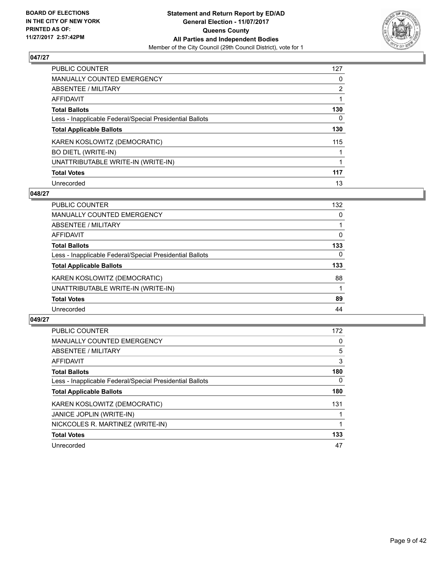

| <b>PUBLIC COUNTER</b>                                    | 127            |
|----------------------------------------------------------|----------------|
| <b>MANUALLY COUNTED EMERGENCY</b>                        | 0              |
| ABSENTEE / MILITARY                                      | $\overline{2}$ |
| AFFIDAVIT                                                |                |
| <b>Total Ballots</b>                                     | 130            |
| Less - Inapplicable Federal/Special Presidential Ballots | 0              |
| <b>Total Applicable Ballots</b>                          | 130            |
| KAREN KOSLOWITZ (DEMOCRATIC)                             | 115            |
| <b>BO DIETL (WRITE-IN)</b>                               |                |
| UNATTRIBUTABLE WRITE-IN (WRITE-IN)                       |                |
| <b>Total Votes</b>                                       | 117            |
| Unrecorded                                               | 13             |

## **048/27**

| <b>PUBLIC COUNTER</b>                                    | 132 |
|----------------------------------------------------------|-----|
| <b>MANUALLY COUNTED EMERGENCY</b>                        | 0   |
| ABSENTEE / MILITARY                                      |     |
| AFFIDAVIT                                                | 0   |
| <b>Total Ballots</b>                                     | 133 |
| Less - Inapplicable Federal/Special Presidential Ballots | 0   |
| <b>Total Applicable Ballots</b>                          | 133 |
| KAREN KOSLOWITZ (DEMOCRATIC)                             | 88  |
| UNATTRIBUTABLE WRITE-IN (WRITE-IN)                       |     |
| <b>Total Votes</b>                                       | 89  |
| Unrecorded                                               | 44  |

| <b>PUBLIC COUNTER</b>                                    | 172      |
|----------------------------------------------------------|----------|
| <b>MANUALLY COUNTED EMERGENCY</b>                        | 0        |
| ABSENTEE / MILITARY                                      | 5        |
| AFFIDAVIT                                                | 3        |
| <b>Total Ballots</b>                                     | 180      |
| Less - Inapplicable Federal/Special Presidential Ballots | $\Omega$ |
| <b>Total Applicable Ballots</b>                          | 180      |
| KAREN KOSLOWITZ (DEMOCRATIC)                             | 131      |
| JANICE JOPLIN (WRITE-IN)                                 |          |
| NICKCOLES R. MARTINEZ (WRITE-IN)                         |          |
| <b>Total Votes</b>                                       | 133      |
| Unrecorded                                               | 47       |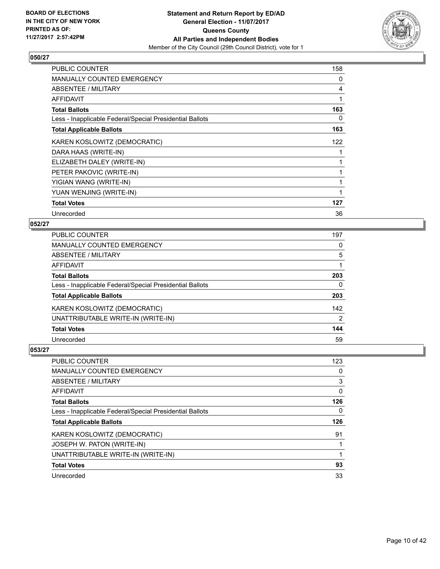

| <b>PUBLIC COUNTER</b>                                    | 158 |
|----------------------------------------------------------|-----|
| <b>MANUALLY COUNTED EMERGENCY</b>                        | 0   |
| ABSENTEE / MILITARY                                      | 4   |
| <b>AFFIDAVIT</b>                                         | 1   |
| <b>Total Ballots</b>                                     | 163 |
| Less - Inapplicable Federal/Special Presidential Ballots | 0   |
| <b>Total Applicable Ballots</b>                          | 163 |
| KAREN KOSLOWITZ (DEMOCRATIC)                             | 122 |
| DARA HAAS (WRITE-IN)                                     |     |
| ELIZABETH DALEY (WRITE-IN)                               |     |
| PETER PAKOVIC (WRITE-IN)                                 |     |
| YIGIAN WANG (WRITE-IN)                                   |     |
| YUAN WENJING (WRITE-IN)                                  | 1   |
| <b>Total Votes</b>                                       | 127 |
| Unrecorded                                               | 36  |

## **052/27**

| 197      |
|----------|
| 0        |
| 5        |
|          |
| 203      |
| $\Omega$ |
| 203      |
| 142      |
| 2        |
| 144      |
| 59       |
|          |

| <b>PUBLIC COUNTER</b>                                    | 123 |
|----------------------------------------------------------|-----|
| <b>MANUALLY COUNTED EMERGENCY</b>                        | 0   |
| ABSENTEE / MILITARY                                      | 3   |
| AFFIDAVIT                                                | 0   |
| <b>Total Ballots</b>                                     | 126 |
| Less - Inapplicable Federal/Special Presidential Ballots | 0   |
|                                                          |     |
| <b>Total Applicable Ballots</b>                          | 126 |
| KAREN KOSLOWITZ (DEMOCRATIC)                             | 91  |
| JOSEPH W. PATON (WRITE-IN)                               |     |
| UNATTRIBUTABLE WRITE-IN (WRITE-IN)                       |     |
| <b>Total Votes</b>                                       | 93  |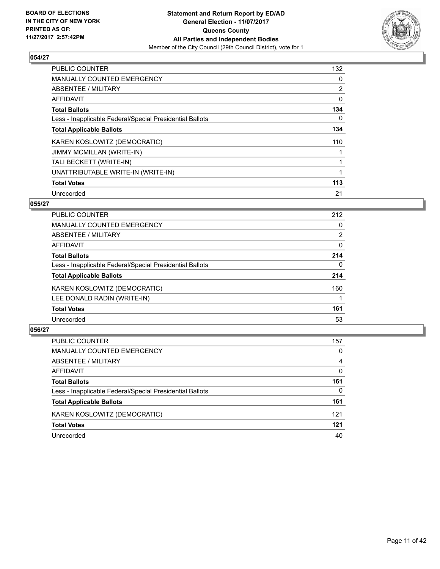

| <b>PUBLIC COUNTER</b>                                    | 132            |
|----------------------------------------------------------|----------------|
| <b>MANUALLY COUNTED EMERGENCY</b>                        | 0              |
| ABSENTEE / MILITARY                                      | $\overline{2}$ |
| AFFIDAVIT                                                | 0              |
| <b>Total Ballots</b>                                     | 134            |
| Less - Inapplicable Federal/Special Presidential Ballots | 0              |
| <b>Total Applicable Ballots</b>                          | 134            |
| KAREN KOSLOWITZ (DEMOCRATIC)                             | 110            |
| JIMMY MCMILLAN (WRITE-IN)                                |                |
| TALI BECKETT (WRITE-IN)                                  |                |
| UNATTRIBUTABLE WRITE-IN (WRITE-IN)                       |                |
| <b>Total Votes</b>                                       | 113            |
| Unrecorded                                               | 21             |

## **055/27**

| <b>PUBLIC COUNTER</b>                                    | 212 |
|----------------------------------------------------------|-----|
| <b>MANUALLY COUNTED EMERGENCY</b>                        | 0   |
| ABSENTEE / MILITARY                                      | 2   |
| <b>AFFIDAVIT</b>                                         | 0   |
| <b>Total Ballots</b>                                     | 214 |
| Less - Inapplicable Federal/Special Presidential Ballots | 0   |
| <b>Total Applicable Ballots</b>                          | 214 |
| KAREN KOSLOWITZ (DEMOCRATIC)                             | 160 |
| LEE DONALD RADIN (WRITE-IN)                              |     |
| <b>Total Votes</b>                                       | 161 |
| Unrecorded                                               | 53  |
|                                                          |     |

| PUBLIC COUNTER                                           | 157 |
|----------------------------------------------------------|-----|
| MANUALLY COUNTED EMERGENCY                               | 0   |
| ABSENTEE / MILITARY                                      | 4   |
| AFFIDAVIT                                                | 0   |
| <b>Total Ballots</b>                                     | 161 |
| Less - Inapplicable Federal/Special Presidential Ballots | 0   |
| <b>Total Applicable Ballots</b>                          | 161 |
| KAREN KOSLOWITZ (DEMOCRATIC)                             | 121 |
| <b>Total Votes</b>                                       | 121 |
| Unrecorded                                               | 40  |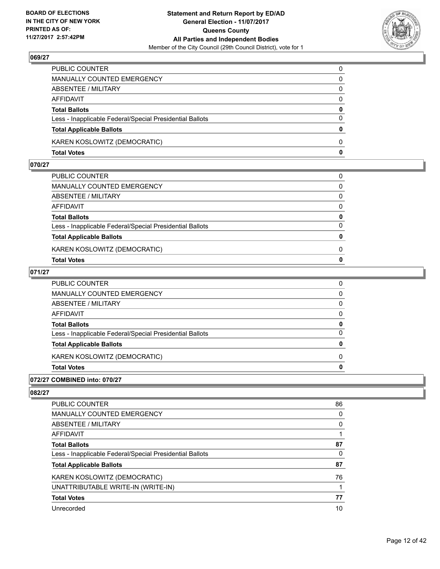

| PUBLIC COUNTER                                           | 0            |
|----------------------------------------------------------|--------------|
| MANUALLY COUNTED EMERGENCY                               | 0            |
| ABSENTEE / MILITARY                                      | $\mathbf{0}$ |
| AFFIDAVIT                                                | $\Omega$     |
| <b>Total Ballots</b>                                     | 0            |
| Less - Inapplicable Federal/Special Presidential Ballots | $\Omega$     |
| <b>Total Applicable Ballots</b>                          | $\mathbf{0}$ |
| KAREN KOSLOWITZ (DEMOCRATIC)                             | $\Omega$     |
| <b>Total Votes</b>                                       | $\mathbf{0}$ |

# **070/27**

| PUBLIC COUNTER                                           | 0        |
|----------------------------------------------------------|----------|
| MANUALLY COUNTED EMERGENCY                               | $\Omega$ |
| ABSENTEE / MILITARY                                      | 0        |
| AFFIDAVIT                                                | $\Omega$ |
| <b>Total Ballots</b>                                     | 0        |
| Less - Inapplicable Federal/Special Presidential Ballots | 0        |
| <b>Total Applicable Ballots</b>                          | $\Omega$ |
| KAREN KOSLOWITZ (DEMOCRATIC)                             | 0        |
| <b>Total Votes</b>                                       | 0        |
|                                                          |          |

# **071/27**

| PUBLIC COUNTER                                           | 0            |
|----------------------------------------------------------|--------------|
| MANUALLY COUNTED EMERGENCY                               | $\mathbf{0}$ |
| ABSENTEE / MILITARY                                      | $\Omega$     |
| AFFIDAVIT                                                | $\mathbf{0}$ |
| <b>Total Ballots</b>                                     | $\mathbf{0}$ |
| Less - Inapplicable Federal/Special Presidential Ballots | $\mathbf{0}$ |
| <b>Total Applicable Ballots</b>                          | 0            |
| KAREN KOSLOWITZ (DEMOCRATIC)                             | $\Omega$     |
| <b>Total Votes</b>                                       | $\mathbf{0}$ |
|                                                          |              |

# **072/27 COMBINED into: 070/27**

| <b>PUBLIC COUNTER</b>                                    | 86 |
|----------------------------------------------------------|----|
| <b>MANUALLY COUNTED EMERGENCY</b>                        | 0  |
| ABSENTEE / MILITARY                                      | 0  |
| AFFIDAVIT                                                |    |
| <b>Total Ballots</b>                                     | 87 |
| Less - Inapplicable Federal/Special Presidential Ballots | 0  |
| <b>Total Applicable Ballots</b>                          | 87 |
| KAREN KOSLOWITZ (DEMOCRATIC)                             | 76 |
| UNATTRIBUTABLE WRITE-IN (WRITE-IN)                       |    |
| <b>Total Votes</b>                                       | 77 |
| Unrecorded                                               | 10 |
|                                                          |    |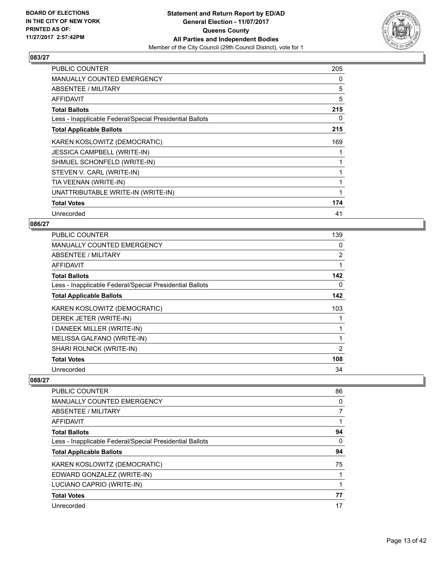

| <b>PUBLIC COUNTER</b>                                    | 205 |
|----------------------------------------------------------|-----|
| <b>MANUALLY COUNTED EMERGENCY</b>                        | 0   |
| ABSENTEE / MILITARY                                      | 5   |
| AFFIDAVIT                                                | 5   |
| <b>Total Ballots</b>                                     | 215 |
| Less - Inapplicable Federal/Special Presidential Ballots | 0   |
| <b>Total Applicable Ballots</b>                          | 215 |
| KAREN KOSLOWITZ (DEMOCRATIC)                             | 169 |
| <b>JESSICA CAMPBELL (WRITE-IN)</b>                       |     |
| SHMUEL SCHONFELD (WRITE-IN)                              |     |
| STEVEN V. CARL (WRITE-IN)                                |     |
| TIA VEENAN (WRITE-IN)                                    |     |
| UNATTRIBUTABLE WRITE-IN (WRITE-IN)                       | 1   |
| <b>Total Votes</b>                                       | 174 |
| Unrecorded                                               | 41  |

## **086/27**

| <b>PUBLIC COUNTER</b>                                    | 139            |
|----------------------------------------------------------|----------------|
| <b>MANUALLY COUNTED EMERGENCY</b>                        | 0              |
| ABSENTEE / MILITARY                                      | $\overline{2}$ |
| AFFIDAVIT                                                | 1              |
| <b>Total Ballots</b>                                     | 142            |
| Less - Inapplicable Federal/Special Presidential Ballots | 0              |
| <b>Total Applicable Ballots</b>                          | 142            |
| KAREN KOSLOWITZ (DEMOCRATIC)                             | 103            |
| DEREK JETER (WRITE-IN)                                   |                |
| I DANEEK MILLER (WRITE-IN)                               | 1              |
| MELISSA GALFANO (WRITE-IN)                               | 1              |
| SHARI ROLNICK (WRITE-IN)                                 | 2              |
| <b>Total Votes</b>                                       | 108            |
| Unrecorded                                               | 34             |

| <b>PUBLIC COUNTER</b>                                    | 86 |
|----------------------------------------------------------|----|
| <b>MANUALLY COUNTED EMERGENCY</b>                        | 0  |
| ABSENTEE / MILITARY                                      |    |
| AFFIDAVIT                                                |    |
| <b>Total Ballots</b>                                     | 94 |
| Less - Inapplicable Federal/Special Presidential Ballots | 0  |
| <b>Total Applicable Ballots</b>                          | 94 |
| KAREN KOSLOWITZ (DEMOCRATIC)                             | 75 |
| EDWARD GONZALEZ (WRITE-IN)                               |    |
| LUCIANO CAPRIO (WRITE-IN)                                |    |
| <b>Total Votes</b>                                       | 77 |
| Unrecorded                                               | 17 |
|                                                          |    |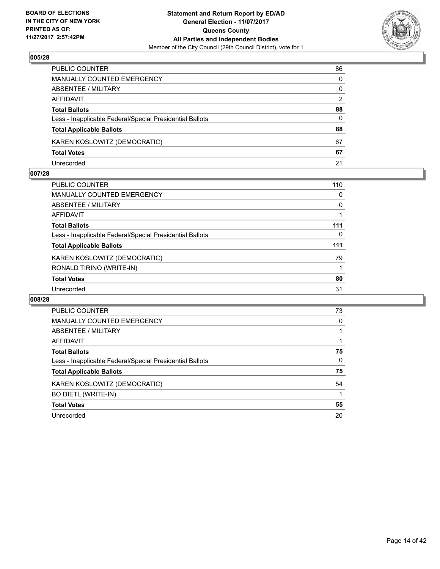

| PUBLIC COUNTER                                           | 86           |
|----------------------------------------------------------|--------------|
| <b>MANUALLY COUNTED EMERGENCY</b>                        | $\mathbf{0}$ |
| <b>ABSENTEE / MILITARY</b>                               | $\mathbf{0}$ |
| AFFIDAVIT                                                | 2            |
| <b>Total Ballots</b>                                     | 88           |
| Less - Inapplicable Federal/Special Presidential Ballots | 0            |
| <b>Total Applicable Ballots</b>                          | 88           |
| KAREN KOSLOWITZ (DEMOCRATIC)                             | 67           |
| <b>Total Votes</b>                                       | 67           |
| Unrecorded                                               | 21           |

#### **007/28**

| PUBLIC COUNTER                                           | 110 |
|----------------------------------------------------------|-----|
| <b>MANUALLY COUNTED EMERGENCY</b>                        | 0   |
| ABSENTEE / MILITARY                                      | 0   |
| AFFIDAVIT                                                |     |
| <b>Total Ballots</b>                                     | 111 |
| Less - Inapplicable Federal/Special Presidential Ballots | 0   |
| <b>Total Applicable Ballots</b>                          | 111 |
| KAREN KOSLOWITZ (DEMOCRATIC)                             | 79  |
| RONALD TIRINO (WRITE-IN)                                 |     |
| <b>Total Votes</b>                                       | 80  |
| Unrecorded                                               | 31  |
|                                                          |     |

| PUBLIC COUNTER                                           | 73 |
|----------------------------------------------------------|----|
| MANUALLY COUNTED EMERGENCY                               | 0  |
| ABSENTEE / MILITARY                                      |    |
| <b>AFFIDAVIT</b>                                         |    |
| <b>Total Ballots</b>                                     | 75 |
| Less - Inapplicable Federal/Special Presidential Ballots | 0  |
| <b>Total Applicable Ballots</b>                          | 75 |
| KAREN KOSLOWITZ (DEMOCRATIC)                             | 54 |
| <b>BO DIETL (WRITE-IN)</b>                               |    |
| <b>Total Votes</b>                                       | 55 |
| Unrecorded                                               | 20 |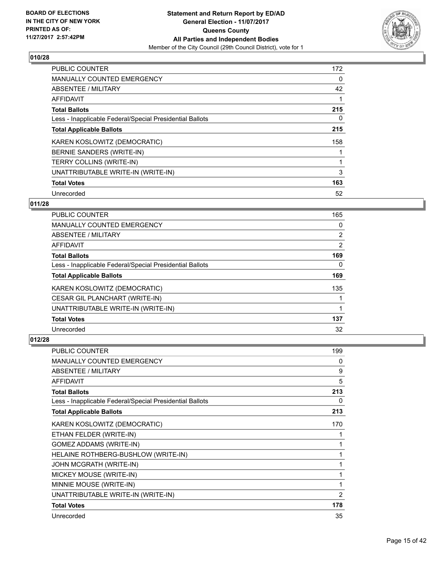

| <b>PUBLIC COUNTER</b>                                    | 172 |
|----------------------------------------------------------|-----|
| <b>MANUALLY COUNTED EMERGENCY</b>                        | 0   |
| ABSENTEE / MILITARY                                      | 42  |
| <b>AFFIDAVIT</b>                                         |     |
| <b>Total Ballots</b>                                     | 215 |
| Less - Inapplicable Federal/Special Presidential Ballots | 0   |
| <b>Total Applicable Ballots</b>                          | 215 |
| KAREN KOSLOWITZ (DEMOCRATIC)                             | 158 |
| BERNIE SANDERS (WRITE-IN)                                |     |
| <b>TERRY COLLINS (WRITE-IN)</b>                          |     |
| UNATTRIBUTABLE WRITE-IN (WRITE-IN)                       | 3   |
| <b>Total Votes</b>                                       | 163 |
| Unrecorded                                               | 52  |

## **011/28**

| <b>PUBLIC COUNTER</b>                                    | 165            |
|----------------------------------------------------------|----------------|
| <b>MANUALLY COUNTED EMERGENCY</b>                        | 0              |
| ABSENTEE / MILITARY                                      | $\overline{2}$ |
| <b>AFFIDAVIT</b>                                         | 2              |
| <b>Total Ballots</b>                                     | 169            |
| Less - Inapplicable Federal/Special Presidential Ballots | 0              |
| <b>Total Applicable Ballots</b>                          | 169            |
| KAREN KOSLOWITZ (DEMOCRATIC)                             | 135            |
| CESAR GIL PLANCHART (WRITE-IN)                           |                |
| UNATTRIBUTABLE WRITE-IN (WRITE-IN)                       |                |
| <b>Total Votes</b>                                       | 137            |
| Unrecorded                                               | 32             |

| <b>PUBLIC COUNTER</b>                                    | 199            |
|----------------------------------------------------------|----------------|
| <b>MANUALLY COUNTED EMERGENCY</b>                        | 0              |
| ABSENTEE / MILITARY                                      | 9              |
| <b>AFFIDAVIT</b>                                         | 5              |
| <b>Total Ballots</b>                                     | 213            |
| Less - Inapplicable Federal/Special Presidential Ballots | 0              |
| <b>Total Applicable Ballots</b>                          | 213            |
| KAREN KOSLOWITZ (DEMOCRATIC)                             | 170            |
| ETHAN FELDER (WRITE-IN)                                  | 1              |
| GOMEZ ADDAMS (WRITE-IN)                                  | 1              |
| HELAINE ROTHBERG-BUSHLOW (WRITE-IN)                      | 1              |
| JOHN MCGRATH (WRITE-IN)                                  | 1              |
| MICKEY MOUSE (WRITE-IN)                                  | 1              |
| MINNIE MOUSE (WRITE-IN)                                  | 1              |
| UNATTRIBUTABLE WRITE-IN (WRITE-IN)                       | $\overline{2}$ |
| <b>Total Votes</b>                                       | 178            |
| Unrecorded                                               | 35             |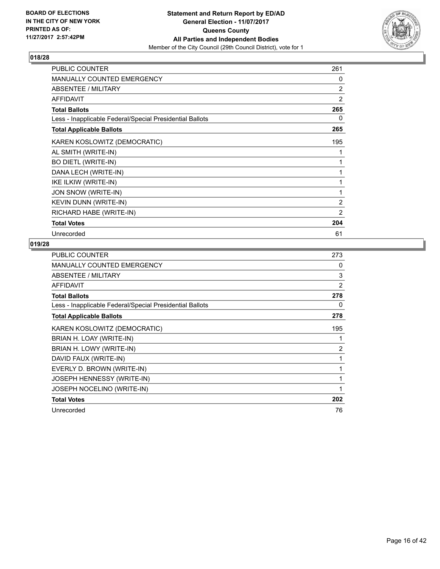

| <b>PUBLIC COUNTER</b>                                    | 261 |
|----------------------------------------------------------|-----|
| MANUALLY COUNTED EMERGENCY                               | 0   |
| <b>ABSENTEE / MILITARY</b>                               | 2   |
| <b>AFFIDAVIT</b>                                         | 2   |
| <b>Total Ballots</b>                                     | 265 |
| Less - Inapplicable Federal/Special Presidential Ballots | 0   |
| <b>Total Applicable Ballots</b>                          | 265 |
| KAREN KOSLOWITZ (DEMOCRATIC)                             | 195 |
| AL SMITH (WRITE-IN)                                      | 1   |
| <b>BO DIETL (WRITE-IN)</b>                               | 1   |
| DANA LECH (WRITE-IN)                                     | 1   |
| IKE ILKIW (WRITE-IN)                                     | 1   |
| JON SNOW (WRITE-IN)                                      | 1   |
| <b>KEVIN DUNN (WRITE-IN)</b>                             | 2   |
| RICHARD HABE (WRITE-IN)                                  | 2   |
| <b>Total Votes</b>                                       | 204 |
| Unrecorded                                               | 61  |

| <b>PUBLIC COUNTER</b>                                    | 273 |
|----------------------------------------------------------|-----|
| <b>MANUALLY COUNTED EMERGENCY</b>                        | 0   |
| ABSENTEE / MILITARY                                      | 3   |
| <b>AFFIDAVIT</b>                                         | 2   |
| <b>Total Ballots</b>                                     | 278 |
| Less - Inapplicable Federal/Special Presidential Ballots | 0   |
| <b>Total Applicable Ballots</b>                          | 278 |
| KAREN KOSLOWITZ (DEMOCRATIC)                             | 195 |
| BRIAN H. LOAY (WRITE-IN)                                 | 1   |
| BRIAN H. LOWY (WRITE-IN)                                 | 2   |
| DAVID FAUX (WRITE-IN)                                    | 1   |
| EVERLY D. BROWN (WRITE-IN)                               | 1   |
| <b>JOSEPH HENNESSY (WRITE-IN)</b>                        | 1   |
| JOSEPH NOCELINO (WRITE-IN)                               | 1   |
| <b>Total Votes</b>                                       | 202 |
| Unrecorded                                               | 76  |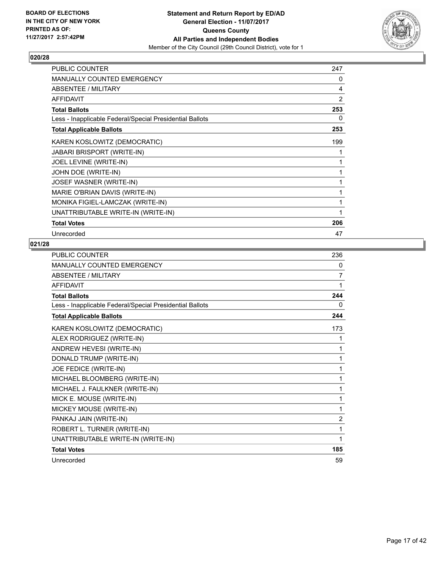

| <b>PUBLIC COUNTER</b>                                    | 247 |
|----------------------------------------------------------|-----|
| <b>MANUALLY COUNTED EMERGENCY</b>                        | 0   |
| ABSENTEE / MILITARY                                      | 4   |
| <b>AFFIDAVIT</b>                                         | 2   |
| <b>Total Ballots</b>                                     | 253 |
| Less - Inapplicable Federal/Special Presidential Ballots | 0   |
| <b>Total Applicable Ballots</b>                          | 253 |
| KAREN KOSLOWITZ (DEMOCRATIC)                             | 199 |
| <b>JABARI BRISPORT (WRITE-IN)</b>                        | 1   |
| JOEL LEVINE (WRITE-IN)                                   | 1   |
| JOHN DOE (WRITE-IN)                                      | 1   |
| JOSEF WASNER (WRITE-IN)                                  | 1   |
| MARIE O'BRIAN DAVIS (WRITE-IN)                           | 1   |
| MONIKA FIGIEL-LAMCZAK (WRITE-IN)                         | 1   |
| UNATTRIBUTABLE WRITE-IN (WRITE-IN)                       | 1   |
| <b>Total Votes</b>                                       | 206 |
| Unrecorded                                               | 47  |

| PUBLIC COUNTER                                           | 236 |
|----------------------------------------------------------|-----|
| MANUALLY COUNTED EMERGENCY                               | 0   |
| <b>ABSENTEE / MILITARY</b>                               | 7   |
| <b>AFFIDAVIT</b>                                         | 1   |
| <b>Total Ballots</b>                                     | 244 |
| Less - Inapplicable Federal/Special Presidential Ballots | 0   |
| <b>Total Applicable Ballots</b>                          | 244 |
| KAREN KOSLOWITZ (DEMOCRATIC)                             | 173 |
| ALEX RODRIGUEZ (WRITE-IN)                                | 1   |
| ANDREW HEVESI (WRITE-IN)                                 | 1   |
| DONALD TRUMP (WRITE-IN)                                  | 1   |
| JOE FEDICE (WRITE-IN)                                    | 1   |
| MICHAEL BLOOMBERG (WRITE-IN)                             | 1   |
| MICHAEL J. FAULKNER (WRITE-IN)                           | 1   |
| MICK E. MOUSE (WRITE-IN)                                 | 1   |
| MICKEY MOUSE (WRITE-IN)                                  | 1   |
| PANKAJ JAIN (WRITE-IN)                                   | 2   |
| ROBERT L. TURNER (WRITE-IN)                              | 1   |
| UNATTRIBUTABLE WRITE-IN (WRITE-IN)                       | 1   |
| <b>Total Votes</b>                                       | 185 |
| Unrecorded                                               | 59  |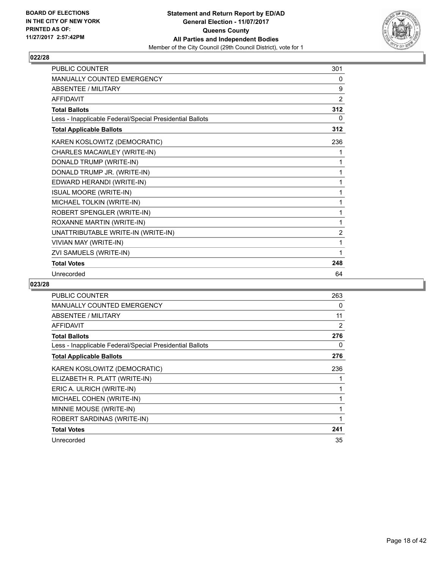

| <b>PUBLIC COUNTER</b>                                    | 301            |
|----------------------------------------------------------|----------------|
| <b>MANUALLY COUNTED EMERGENCY</b>                        | 0              |
| <b>ABSENTEE / MILITARY</b>                               | 9              |
| <b>AFFIDAVIT</b>                                         | $\overline{2}$ |
| <b>Total Ballots</b>                                     | 312            |
| Less - Inapplicable Federal/Special Presidential Ballots | $\Omega$       |
| <b>Total Applicable Ballots</b>                          | 312            |
| KAREN KOSLOWITZ (DEMOCRATIC)                             | 236            |
| CHARLES MACAWLEY (WRITE-IN)                              | 1              |
| DONALD TRUMP (WRITE-IN)                                  | 1              |
| DONALD TRUMP JR. (WRITE-IN)                              | 1              |
| EDWARD HERANDI (WRITE-IN)                                | 1              |
| <b>ISUAL MOORE (WRITE-IN)</b>                            |                |
| MICHAEL TOLKIN (WRITE-IN)                                |                |
| ROBERT SPENGLER (WRITE-IN)                               | 1              |
| ROXANNE MARTIN (WRITE-IN)                                | 1              |
| UNATTRIBUTABLE WRITE-IN (WRITE-IN)                       | $\overline{2}$ |
| VIVIAN MAY (WRITE-IN)                                    | 1              |
| ZVI SAMUELS (WRITE-IN)                                   | 1              |
| <b>Total Votes</b>                                       | 248            |
| Unrecorded                                               | 64             |

| <b>PUBLIC COUNTER</b>                                    | 263 |
|----------------------------------------------------------|-----|
| <b>MANUALLY COUNTED EMERGENCY</b>                        | 0   |
| <b>ABSENTEE / MILITARY</b>                               | 11  |
| AFFIDAVIT                                                | 2   |
| <b>Total Ballots</b>                                     | 276 |
| Less - Inapplicable Federal/Special Presidential Ballots | 0   |
| <b>Total Applicable Ballots</b>                          | 276 |
| KAREN KOSLOWITZ (DEMOCRATIC)                             | 236 |
| ELIZABETH R. PLATT (WRITE-IN)                            | 1   |
| ERIC A. ULRICH (WRITE-IN)                                | 1   |
| MICHAEL COHEN (WRITE-IN)                                 | 1   |
| MINNIE MOUSE (WRITE-IN)                                  | 1   |
| ROBERT SARDINAS (WRITE-IN)                               | 1   |
| <b>Total Votes</b>                                       | 241 |
| Unrecorded                                               | 35  |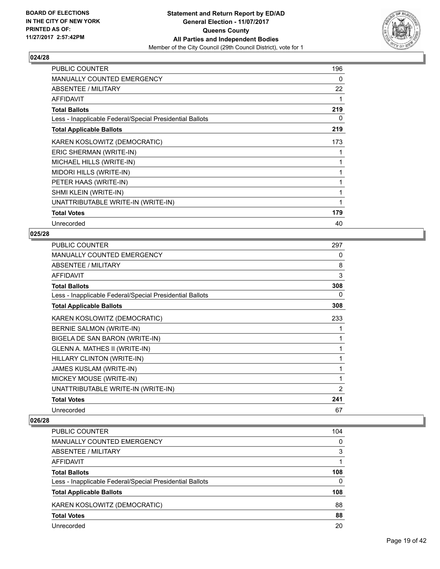

| <b>PUBLIC COUNTER</b>                                    | 196 |
|----------------------------------------------------------|-----|
| <b>MANUALLY COUNTED EMERGENCY</b>                        | 0   |
| ABSENTEE / MILITARY                                      | 22  |
| <b>AFFIDAVIT</b>                                         |     |
| <b>Total Ballots</b>                                     | 219 |
| Less - Inapplicable Federal/Special Presidential Ballots | 0   |
| <b>Total Applicable Ballots</b>                          | 219 |
| KAREN KOSLOWITZ (DEMOCRATIC)                             | 173 |
| ERIC SHERMAN (WRITE-IN)                                  |     |
| MICHAEL HILLS (WRITE-IN)                                 |     |
| MIDORI HILLS (WRITE-IN)                                  |     |
| PETER HAAS (WRITE-IN)                                    |     |
| SHMI KLEIN (WRITE-IN)                                    | 1   |
| UNATTRIBUTABLE WRITE-IN (WRITE-IN)                       | 1   |
| <b>Total Votes</b>                                       | 179 |
| Unrecorded                                               | 40  |

## **025/28**

| PUBLIC COUNTER                                           | 297 |
|----------------------------------------------------------|-----|
| <b>MANUALLY COUNTED EMERGENCY</b>                        | 0   |
| ABSENTEE / MILITARY                                      | 8   |
| <b>AFFIDAVIT</b>                                         | 3   |
| <b>Total Ballots</b>                                     | 308 |
| Less - Inapplicable Federal/Special Presidential Ballots | 0   |
| <b>Total Applicable Ballots</b>                          | 308 |
| KAREN KOSLOWITZ (DEMOCRATIC)                             | 233 |
| BERNIE SALMON (WRITE-IN)                                 | 1   |
| BIGELA DE SAN BARON (WRITE-IN)                           | 1   |
| GLENN A. MATHES II (WRITE-IN)                            | 1   |
| HILLARY CLINTON (WRITE-IN)                               | 1   |
| JAMES KUSLAM (WRITE-IN)                                  | 1   |
| MICKEY MOUSE (WRITE-IN)                                  | 1   |
| UNATTRIBUTABLE WRITE-IN (WRITE-IN)                       | 2   |
| <b>Total Votes</b>                                       | 241 |
| Unrecorded                                               | 67  |

| <b>PUBLIC COUNTER</b>                                    | 104 |
|----------------------------------------------------------|-----|
| <b>MANUALLY COUNTED EMERGENCY</b>                        | 0   |
| ABSENTEE / MILITARY                                      | 3   |
| AFFIDAVIT                                                |     |
| <b>Total Ballots</b>                                     | 108 |
| Less - Inapplicable Federal/Special Presidential Ballots | 0   |
| <b>Total Applicable Ballots</b>                          | 108 |
| KAREN KOSLOWITZ (DEMOCRATIC)                             | 88  |
| <b>Total Votes</b>                                       | 88  |
| Unrecorded                                               | 20  |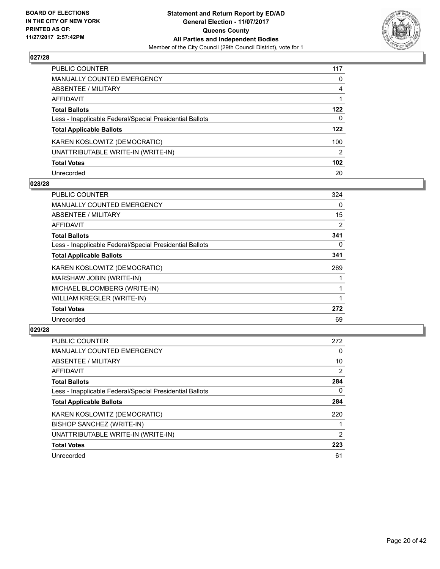

| <b>PUBLIC COUNTER</b>                                    | 117              |
|----------------------------------------------------------|------------------|
| <b>MANUALLY COUNTED EMERGENCY</b>                        | 0                |
| <b>ABSENTEE / MILITARY</b>                               | 4                |
| <b>AFFIDAVIT</b>                                         |                  |
| <b>Total Ballots</b>                                     | 122              |
| Less - Inapplicable Federal/Special Presidential Ballots | 0                |
| <b>Total Applicable Ballots</b>                          | 122              |
| KAREN KOSLOWITZ (DEMOCRATIC)                             | 100              |
| UNATTRIBUTABLE WRITE-IN (WRITE-IN)                       | 2                |
| <b>Total Votes</b>                                       | 102 <sub>2</sub> |
| Unrecorded                                               | 20               |

## **028/28**

| <b>PUBLIC COUNTER</b>                                    | 324 |
|----------------------------------------------------------|-----|
| <b>MANUALLY COUNTED EMERGENCY</b>                        | 0   |
| ABSENTEE / MILITARY                                      | 15  |
| <b>AFFIDAVIT</b>                                         | 2   |
| <b>Total Ballots</b>                                     | 341 |
| Less - Inapplicable Federal/Special Presidential Ballots | 0   |
| <b>Total Applicable Ballots</b>                          | 341 |
| KAREN KOSLOWITZ (DEMOCRATIC)                             | 269 |
| MARSHAW JOBIN (WRITE-IN)                                 |     |
| MICHAEL BLOOMBERG (WRITE-IN)                             |     |
| WILLIAM KREGLER (WRITE-IN)                               |     |
| <b>Total Votes</b>                                       | 272 |
| Unrecorded                                               | 69  |

| <b>PUBLIC COUNTER</b>                                    | 272 |
|----------------------------------------------------------|-----|
| <b>MANUALLY COUNTED EMERGENCY</b>                        | 0   |
| ABSENTEE / MILITARY                                      | 10  |
| AFFIDAVIT                                                | 2   |
| <b>Total Ballots</b>                                     | 284 |
| Less - Inapplicable Federal/Special Presidential Ballots | 0   |
| <b>Total Applicable Ballots</b>                          | 284 |
| KAREN KOSLOWITZ (DEMOCRATIC)                             | 220 |
| BISHOP SANCHEZ (WRITE-IN)                                |     |
| UNATTRIBUTABLE WRITE-IN (WRITE-IN)                       | 2   |
| <b>Total Votes</b>                                       | 223 |
| Unrecorded                                               | 61  |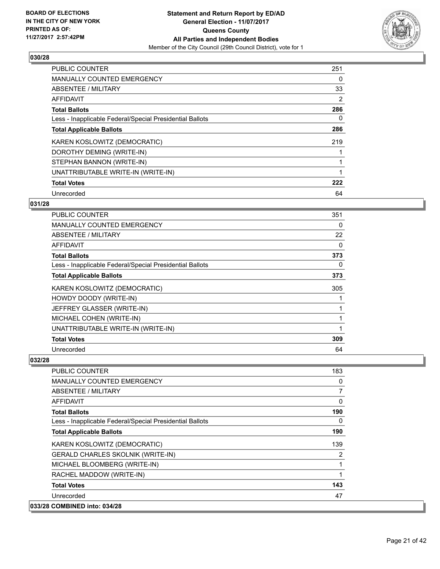

| <b>PUBLIC COUNTER</b>                                    | 251 |
|----------------------------------------------------------|-----|
| <b>MANUALLY COUNTED EMERGENCY</b>                        | 0   |
| ABSENTEE / MILITARY                                      | 33  |
| <b>AFFIDAVIT</b>                                         | 2   |
| <b>Total Ballots</b>                                     | 286 |
| Less - Inapplicable Federal/Special Presidential Ballots | 0   |
| <b>Total Applicable Ballots</b>                          | 286 |
| KAREN KOSLOWITZ (DEMOCRATIC)                             | 219 |
| DOROTHY DEMING (WRITE-IN)                                |     |
| STEPHAN BANNON (WRITE-IN)                                |     |
| UNATTRIBUTABLE WRITE-IN (WRITE-IN)                       |     |
| <b>Total Votes</b>                                       | 222 |
| Unrecorded                                               | 64  |

# **031/28**

| <b>PUBLIC COUNTER</b>                                    | 351 |
|----------------------------------------------------------|-----|
| MANUALLY COUNTED EMERGENCY                               | 0   |
| ABSENTEE / MILITARY                                      | 22  |
| <b>AFFIDAVIT</b>                                         | 0   |
| <b>Total Ballots</b>                                     | 373 |
| Less - Inapplicable Federal/Special Presidential Ballots | 0   |
| <b>Total Applicable Ballots</b>                          | 373 |
| KAREN KOSLOWITZ (DEMOCRATIC)                             | 305 |
| HOWDY DOODY (WRITE-IN)                                   |     |
| JEFFREY GLASSER (WRITE-IN)                               |     |
| MICHAEL COHEN (WRITE-IN)                                 |     |
| UNATTRIBUTABLE WRITE-IN (WRITE-IN)                       | 1   |
| <b>Total Votes</b>                                       | 309 |
| Unrecorded                                               | 64  |

| <b>PUBLIC COUNTER</b>                                    | 183            |
|----------------------------------------------------------|----------------|
| <b>MANUALLY COUNTED EMERGENCY</b>                        | 0              |
| <b>ABSENTEE / MILITARY</b>                               | $\overline{7}$ |
| AFFIDAVIT                                                | 0              |
| <b>Total Ballots</b>                                     | 190            |
| Less - Inapplicable Federal/Special Presidential Ballots | 0              |
| <b>Total Applicable Ballots</b>                          | 190            |
| KAREN KOSLOWITZ (DEMOCRATIC)                             | 139            |
| <b>GERALD CHARLES SKOLNIK (WRITE-IN)</b>                 | 2              |
| MICHAEL BLOOMBERG (WRITE-IN)                             |                |
| RACHEL MADDOW (WRITE-IN)                                 | 1              |
| <b>Total Votes</b>                                       | 143            |
| Unrecorded                                               | 47             |
| 033/28 COMBINED into: 034/28                             |                |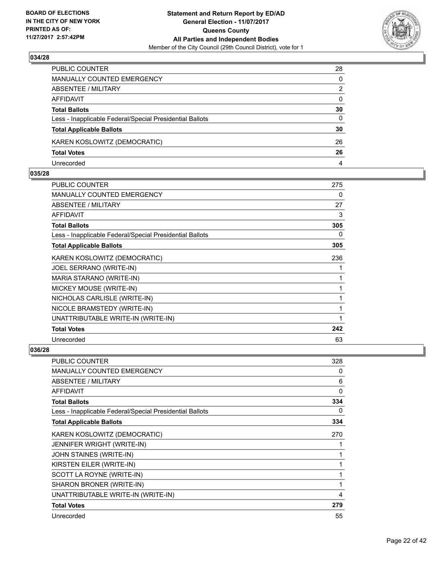

| PUBLIC COUNTER                                           | 28       |
|----------------------------------------------------------|----------|
| <b>MANUALLY COUNTED EMERGENCY</b>                        | 0        |
| <b>ABSENTEE / MILITARY</b>                               | 2        |
| AFFIDAVIT                                                | 0        |
| <b>Total Ballots</b>                                     | 30       |
| Less - Inapplicable Federal/Special Presidential Ballots | $\Omega$ |
| <b>Total Applicable Ballots</b>                          | 30       |
| KAREN KOSLOWITZ (DEMOCRATIC)                             | 26       |
| <b>Total Votes</b>                                       | 26       |
| Unrecorded                                               | 4        |

#### **035/28**

| <b>PUBLIC COUNTER</b>                                    | 275 |
|----------------------------------------------------------|-----|
| <b>MANUALLY COUNTED EMERGENCY</b>                        | 0   |
| ABSENTEE / MILITARY                                      | 27  |
| <b>AFFIDAVIT</b>                                         | 3   |
| <b>Total Ballots</b>                                     | 305 |
| Less - Inapplicable Federal/Special Presidential Ballots | 0   |
| <b>Total Applicable Ballots</b>                          | 305 |
| KAREN KOSLOWITZ (DEMOCRATIC)                             | 236 |
| JOEL SERRANO (WRITE-IN)                                  |     |
| MARIA STARANO (WRITE-IN)                                 | 1   |
| MICKEY MOUSE (WRITE-IN)                                  | 1   |
| NICHOLAS CARLISLE (WRITE-IN)                             | 1   |
| NICOLE BRAMSTEDY (WRITE-IN)                              | 1   |
| UNATTRIBUTABLE WRITE-IN (WRITE-IN)                       | 1   |
| <b>Total Votes</b>                                       | 242 |
| Unrecorded                                               | 63  |

| <b>PUBLIC COUNTER</b>                                    | 328 |
|----------------------------------------------------------|-----|
| <b>MANUALLY COUNTED EMERGENCY</b>                        | 0   |
| <b>ABSENTEE / MILITARY</b>                               | 6   |
| <b>AFFIDAVIT</b>                                         | 0   |
| <b>Total Ballots</b>                                     | 334 |
| Less - Inapplicable Federal/Special Presidential Ballots | 0   |
| <b>Total Applicable Ballots</b>                          | 334 |
| KAREN KOSLOWITZ (DEMOCRATIC)                             | 270 |
| JENNIFER WRIGHT (WRITE-IN)                               |     |
| JOHN STAINES (WRITE-IN)                                  | 1   |
| KIRSTEN EILER (WRITE-IN)                                 |     |
| SCOTT LA ROYNE (WRITE-IN)                                | 1   |
| SHARON BRONER (WRITE-IN)                                 | 1   |
| UNATTRIBUTABLE WRITE-IN (WRITE-IN)                       | 4   |
| <b>Total Votes</b>                                       | 279 |
| Unrecorded                                               | 55  |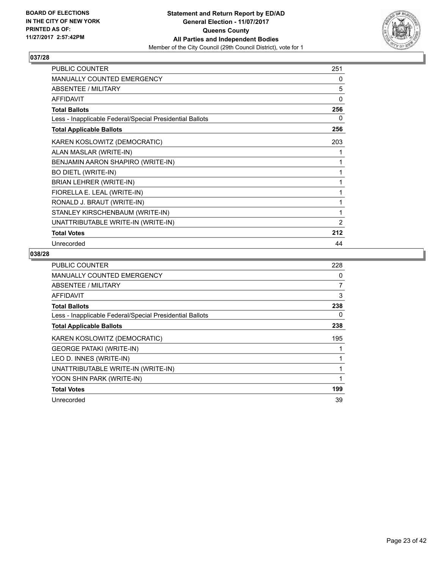

| PUBLIC COUNTER                                           | 251            |
|----------------------------------------------------------|----------------|
| MANUALLY COUNTED EMERGENCY                               | 0              |
| <b>ABSENTEE / MILITARY</b>                               | 5              |
| <b>AFFIDAVIT</b>                                         | 0              |
| <b>Total Ballots</b>                                     | 256            |
| Less - Inapplicable Federal/Special Presidential Ballots | 0              |
| <b>Total Applicable Ballots</b>                          | 256            |
| KAREN KOSLOWITZ (DEMOCRATIC)                             | 203            |
| ALAN MASLAR (WRITE-IN)                                   |                |
| BENJAMIN AARON SHAPIRO (WRITE-IN)                        | 1              |
| BO DIETL (WRITE-IN)                                      | 1              |
| BRIAN LEHRER (WRITE-IN)                                  | 1              |
| FIORELLA E. LEAL (WRITE-IN)                              | 1              |
| RONALD J. BRAUT (WRITE-IN)                               | 1              |
| STANLEY KIRSCHENBAUM (WRITE-IN)                          | 1              |
| UNATTRIBUTABLE WRITE-IN (WRITE-IN)                       | $\overline{2}$ |
| <b>Total Votes</b>                                       | 212            |
| Unrecorded                                               | 44             |

| <b>PUBLIC COUNTER</b>                                    | 228            |
|----------------------------------------------------------|----------------|
| MANUALLY COUNTED EMERGENCY                               | 0              |
| <b>ABSENTEE / MILITARY</b>                               | $\overline{7}$ |
| AFFIDAVIT                                                | 3              |
| <b>Total Ballots</b>                                     | 238            |
| Less - Inapplicable Federal/Special Presidential Ballots | 0              |
| <b>Total Applicable Ballots</b>                          | 238            |
| KAREN KOSLOWITZ (DEMOCRATIC)                             | 195            |
| <b>GEORGE PATAKI (WRITE-IN)</b>                          |                |
| LEO D. INNES (WRITE-IN)                                  |                |
| UNATTRIBUTABLE WRITE-IN (WRITE-IN)                       |                |
| YOON SHIN PARK (WRITE-IN)                                |                |
| <b>Total Votes</b>                                       | 199            |
| Unrecorded                                               | 39             |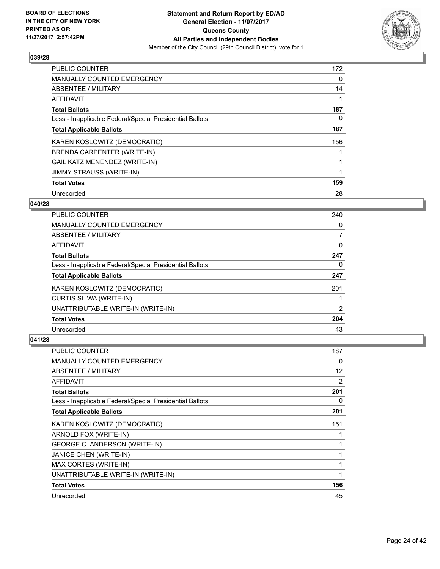

| PUBLIC COUNTER                                           | 172 |
|----------------------------------------------------------|-----|
| <b>MANUALLY COUNTED EMERGENCY</b>                        | 0   |
| ABSENTEE / MILITARY                                      | 14  |
| <b>AFFIDAVIT</b>                                         |     |
| <b>Total Ballots</b>                                     | 187 |
| Less - Inapplicable Federal/Special Presidential Ballots | 0   |
| <b>Total Applicable Ballots</b>                          | 187 |
| KAREN KOSLOWITZ (DEMOCRATIC)                             | 156 |
| BRENDA CARPENTER (WRITE-IN)                              |     |
| GAIL KATZ MENENDEZ (WRITE-IN)                            |     |
| <b>JIMMY STRAUSS (WRITE-IN)</b>                          |     |
| <b>Total Votes</b>                                       | 159 |
| Unrecorded                                               | 28  |

## **040/28**

| <b>PUBLIC COUNTER</b>                                    | 240 |
|----------------------------------------------------------|-----|
| <b>MANUALLY COUNTED EMERGENCY</b>                        | 0   |
| ABSENTEE / MILITARY                                      | 7   |
| <b>AFFIDAVIT</b>                                         | 0   |
| <b>Total Ballots</b>                                     | 247 |
| Less - Inapplicable Federal/Special Presidential Ballots | 0   |
| <b>Total Applicable Ballots</b>                          | 247 |
| KAREN KOSLOWITZ (DEMOCRATIC)                             | 201 |
| <b>CURTIS SLIWA (WRITE-IN)</b>                           |     |
| UNATTRIBUTABLE WRITE-IN (WRITE-IN)                       | 2   |
| <b>Total Votes</b>                                       | 204 |
| Unrecorded                                               | 43  |

| <b>PUBLIC COUNTER</b>                                    | 187 |
|----------------------------------------------------------|-----|
| <b>MANUALLY COUNTED EMERGENCY</b>                        | 0   |
| ABSENTEE / MILITARY                                      | 12  |
| AFFIDAVIT                                                | 2   |
| <b>Total Ballots</b>                                     | 201 |
| Less - Inapplicable Federal/Special Presidential Ballots | 0   |
| <b>Total Applicable Ballots</b>                          | 201 |
| KAREN KOSLOWITZ (DEMOCRATIC)                             | 151 |
| ARNOLD FOX (WRITE-IN)                                    |     |
| <b>GEORGE C. ANDERSON (WRITE-IN)</b>                     |     |
| JANICE CHEN (WRITE-IN)                                   | 1   |
| MAX CORTES (WRITE-IN)                                    | 1   |
| UNATTRIBUTABLE WRITE-IN (WRITE-IN)                       | 1   |
| <b>Total Votes</b>                                       | 156 |
| Unrecorded                                               | 45  |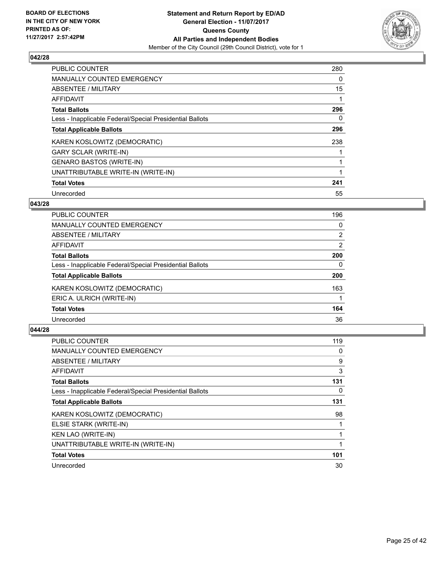

| <b>PUBLIC COUNTER</b>                                    | 280 |
|----------------------------------------------------------|-----|
| <b>MANUALLY COUNTED EMERGENCY</b>                        | 0   |
| ABSENTEE / MILITARY                                      | 15  |
| AFFIDAVIT                                                |     |
| <b>Total Ballots</b>                                     | 296 |
| Less - Inapplicable Federal/Special Presidential Ballots | 0   |
| <b>Total Applicable Ballots</b>                          | 296 |
| KAREN KOSLOWITZ (DEMOCRATIC)                             | 238 |
| <b>GARY SCLAR (WRITE-IN)</b>                             |     |
| <b>GENARO BASTOS (WRITE-IN)</b>                          |     |
| UNATTRIBUTABLE WRITE-IN (WRITE-IN)                       |     |
| <b>Total Votes</b>                                       | 241 |
| Unrecorded                                               | 55  |

## **043/28**

| 0   |
|-----|
| 2   |
| 2   |
| 200 |
| 0   |
| 200 |
| 163 |
|     |
| 164 |
| 36  |
|     |

| <b>PUBLIC COUNTER</b>                                    | 119 |
|----------------------------------------------------------|-----|
| MANUALLY COUNTED EMERGENCY                               | 0   |
| ABSENTEE / MILITARY                                      | 9   |
| <b>AFFIDAVIT</b>                                         | 3   |
| <b>Total Ballots</b>                                     | 131 |
| Less - Inapplicable Federal/Special Presidential Ballots | 0   |
| <b>Total Applicable Ballots</b>                          | 131 |
| KAREN KOSLOWITZ (DEMOCRATIC)                             | 98  |
| ELSIE STARK (WRITE-IN)                                   |     |
| <b>KEN LAO (WRITE-IN)</b>                                |     |
| UNATTRIBUTABLE WRITE-IN (WRITE-IN)                       |     |
| <b>Total Votes</b>                                       | 101 |
| Unrecorded                                               | 30  |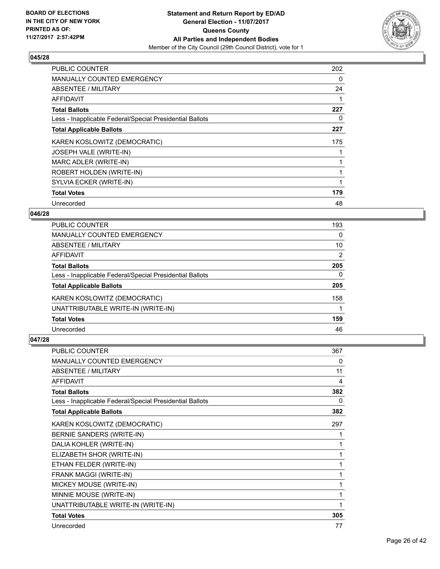

| <b>PUBLIC COUNTER</b>                                    | 202 |
|----------------------------------------------------------|-----|
| <b>MANUALLY COUNTED EMERGENCY</b>                        | 0   |
| ABSENTEE / MILITARY                                      | 24  |
| AFFIDAVIT                                                |     |
| <b>Total Ballots</b>                                     | 227 |
| Less - Inapplicable Federal/Special Presidential Ballots | 0   |
| <b>Total Applicable Ballots</b>                          | 227 |
| KAREN KOSLOWITZ (DEMOCRATIC)                             | 175 |
| <b>JOSEPH VALE (WRITE-IN)</b>                            |     |
|                                                          |     |
| MARC ADLER (WRITE-IN)                                    |     |
| ROBERT HOLDEN (WRITE-IN)                                 |     |
| SYLVIA ECKER (WRITE-IN)                                  |     |
| <b>Total Votes</b>                                       | 179 |

# **046/28**

| PUBLIC COUNTER                                           | 193 |
|----------------------------------------------------------|-----|
| <b>MANUALLY COUNTED EMERGENCY</b>                        | 0   |
| ABSENTEE / MILITARY                                      | 10  |
| <b>AFFIDAVIT</b>                                         | 2   |
| <b>Total Ballots</b>                                     | 205 |
| Less - Inapplicable Federal/Special Presidential Ballots | 0   |
| <b>Total Applicable Ballots</b>                          | 205 |
| KAREN KOSLOWITZ (DEMOCRATIC)                             | 158 |
| UNATTRIBUTABLE WRITE-IN (WRITE-IN)                       |     |
| <b>Total Votes</b>                                       | 159 |
| Unrecorded                                               | 46  |

| <b>PUBLIC COUNTER</b>                                    | 367 |
|----------------------------------------------------------|-----|
| <b>MANUALLY COUNTED EMERGENCY</b>                        | 0   |
| <b>ABSENTEE / MILITARY</b>                               | 11  |
| <b>AFFIDAVIT</b>                                         | 4   |
| <b>Total Ballots</b>                                     | 382 |
| Less - Inapplicable Federal/Special Presidential Ballots | 0   |
| <b>Total Applicable Ballots</b>                          | 382 |
| KAREN KOSLOWITZ (DEMOCRATIC)                             | 297 |
| BERNIE SANDERS (WRITE-IN)                                | 1   |
| DALIA KOHLER (WRITE-IN)                                  | 1   |
| ELIZABETH SHOR (WRITE-IN)                                | 1   |
| ETHAN FELDER (WRITE-IN)                                  | 1   |
| FRANK MAGGI (WRITE-IN)                                   | 1   |
| MICKEY MOUSE (WRITE-IN)                                  | 1   |
| MINNIE MOUSE (WRITE-IN)                                  | 1   |
| UNATTRIBUTABLE WRITE-IN (WRITE-IN)                       | 1   |
| <b>Total Votes</b>                                       | 305 |
| Unrecorded                                               | 77  |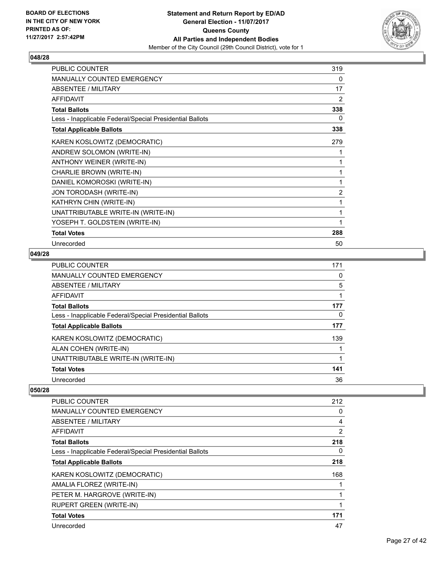

| <b>PUBLIC COUNTER</b>                                    | 319            |
|----------------------------------------------------------|----------------|
| <b>MANUALLY COUNTED EMERGENCY</b>                        | 0              |
| <b>ABSENTEE / MILITARY</b>                               | 17             |
| <b>AFFIDAVIT</b>                                         | $\overline{2}$ |
| <b>Total Ballots</b>                                     | 338            |
| Less - Inapplicable Federal/Special Presidential Ballots | 0              |
| <b>Total Applicable Ballots</b>                          | 338            |
| KAREN KOSLOWITZ (DEMOCRATIC)                             | 279            |
| ANDREW SOLOMON (WRITE-IN)                                | 1              |
| <b>ANTHONY WEINER (WRITE-IN)</b>                         | 1              |
| CHARLIE BROWN (WRITE-IN)                                 |                |
| DANIEL KOMOROSKI (WRITE-IN)                              |                |
| JON TORODASH (WRITE-IN)                                  | $\overline{2}$ |
| KATHRYN CHIN (WRITE-IN)                                  | 1              |
| UNATTRIBUTABLE WRITE-IN (WRITE-IN)                       | 1              |
| YOSEPH T. GOLDSTEIN (WRITE-IN)                           | 1              |
| <b>Total Votes</b>                                       | 288            |
| Unrecorded                                               | 50             |

# **049/28**

| <b>PUBLIC COUNTER</b>                                    | 171 |
|----------------------------------------------------------|-----|
| <b>MANUALLY COUNTED EMERGENCY</b>                        | 0   |
| <b>ABSENTEE / MILITARY</b>                               | 5   |
| AFFIDAVIT                                                | 1   |
| <b>Total Ballots</b>                                     | 177 |
| Less - Inapplicable Federal/Special Presidential Ballots | 0   |
| <b>Total Applicable Ballots</b>                          | 177 |
| KAREN KOSLOWITZ (DEMOCRATIC)                             | 139 |
| ALAN COHEN (WRITE-IN)                                    |     |
| UNATTRIBUTABLE WRITE-IN (WRITE-IN)                       | 1   |
| <b>Total Votes</b>                                       | 141 |
| Unrecorded                                               | 36  |

| <b>PUBLIC COUNTER</b>                                    | 212            |
|----------------------------------------------------------|----------------|
| <b>MANUALLY COUNTED EMERGENCY</b>                        | 0              |
| ABSENTEE / MILITARY                                      | 4              |
| AFFIDAVIT                                                | $\overline{2}$ |
| <b>Total Ballots</b>                                     | 218            |
| Less - Inapplicable Federal/Special Presidential Ballots | 0              |
| <b>Total Applicable Ballots</b>                          | 218            |
| KAREN KOSLOWITZ (DEMOCRATIC)                             | 168            |
| AMALIA FLOREZ (WRITE-IN)                                 |                |
| PETER M. HARGROVE (WRITE-IN)                             |                |
| <b>RUPERT GREEN (WRITE-IN)</b>                           |                |
| <b>Total Votes</b>                                       | 171            |
| Unrecorded                                               | 47             |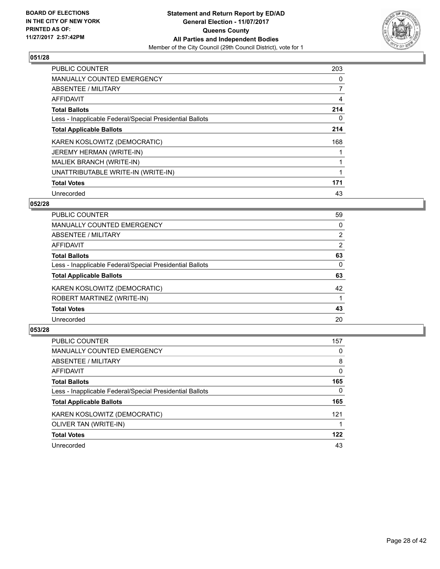

| <b>PUBLIC COUNTER</b>                                    | 203 |
|----------------------------------------------------------|-----|
| <b>MANUALLY COUNTED EMERGENCY</b>                        | 0   |
| ABSENTEE / MILITARY                                      | 7   |
| <b>AFFIDAVIT</b>                                         | 4   |
| <b>Total Ballots</b>                                     | 214 |
| Less - Inapplicable Federal/Special Presidential Ballots | 0   |
| <b>Total Applicable Ballots</b>                          | 214 |
| KAREN KOSLOWITZ (DEMOCRATIC)                             | 168 |
| JEREMY HERMAN (WRITE-IN)                                 |     |
| MALIEK BRANCH (WRITE-IN)                                 |     |
| UNATTRIBUTABLE WRITE-IN (WRITE-IN)                       | 1   |
| <b>Total Votes</b>                                       | 171 |
| Unrecorded                                               | 43  |

# **052/28**

| <b>PUBLIC COUNTER</b>                                    | 59             |
|----------------------------------------------------------|----------------|
| MANUALLY COUNTED EMERGENCY                               | 0              |
| ABSENTEE / MILITARY                                      | $\overline{2}$ |
| AFFIDAVIT                                                | 2              |
| <b>Total Ballots</b>                                     | 63             |
| Less - Inapplicable Federal/Special Presidential Ballots | 0              |
| <b>Total Applicable Ballots</b>                          | 63             |
| KAREN KOSLOWITZ (DEMOCRATIC)                             | 42             |
| ROBERT MARTINEZ (WRITE-IN)                               |                |
| <b>Total Votes</b>                                       | 43             |
| Unrecorded                                               | 20             |
|                                                          |                |

| <b>PUBLIC COUNTER</b>                                    | 157 |
|----------------------------------------------------------|-----|
| <b>MANUALLY COUNTED EMERGENCY</b>                        | 0   |
| ABSENTEE / MILITARY                                      | 8   |
| AFFIDAVIT                                                | 0   |
| <b>Total Ballots</b>                                     | 165 |
| Less - Inapplicable Federal/Special Presidential Ballots | 0   |
| <b>Total Applicable Ballots</b>                          | 165 |
| KAREN KOSLOWITZ (DEMOCRATIC)                             | 121 |
| OLIVER TAN (WRITE-IN)                                    |     |
| <b>Total Votes</b>                                       | 122 |
| Unrecorded                                               | 43  |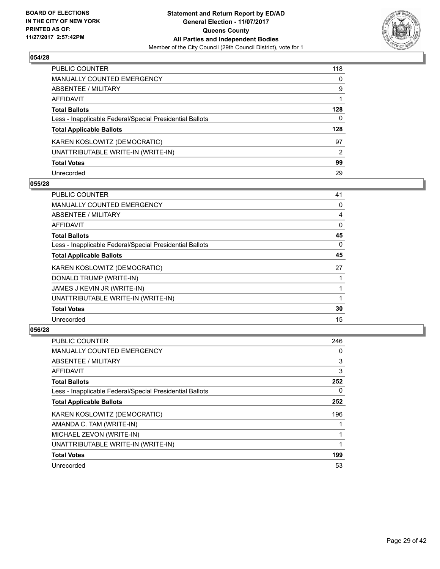

| PUBLIC COUNTER                                           | 118 |
|----------------------------------------------------------|-----|
| <b>MANUALLY COUNTED EMERGENCY</b>                        | 0   |
| <b>ABSENTEE / MILITARY</b>                               | 9   |
| AFFIDAVIT                                                |     |
| <b>Total Ballots</b>                                     | 128 |
| Less - Inapplicable Federal/Special Presidential Ballots | 0   |
| <b>Total Applicable Ballots</b>                          | 128 |
| KAREN KOSLOWITZ (DEMOCRATIC)                             | 97  |
| UNATTRIBUTABLE WRITE-IN (WRITE-IN)                       | 2   |
| <b>Total Votes</b>                                       | 99  |
| Unrecorded                                               | 29  |

## **055/28**

| <b>PUBLIC COUNTER</b>                                    | 41 |
|----------------------------------------------------------|----|
| <b>MANUALLY COUNTED EMERGENCY</b>                        | 0  |
| ABSENTEE / MILITARY                                      | 4  |
| AFFIDAVIT                                                | 0  |
| <b>Total Ballots</b>                                     | 45 |
| Less - Inapplicable Federal/Special Presidential Ballots | 0  |
| <b>Total Applicable Ballots</b>                          | 45 |
| KAREN KOSLOWITZ (DEMOCRATIC)                             | 27 |
| DONALD TRUMP (WRITE-IN)                                  |    |
| JAMES J KEVIN JR (WRITE-IN)                              |    |
| UNATTRIBUTABLE WRITE-IN (WRITE-IN)                       |    |
| <b>Total Votes</b>                                       | 30 |
| Unrecorded                                               | 15 |

| <b>PUBLIC COUNTER</b>                                    | 246 |
|----------------------------------------------------------|-----|
| <b>MANUALLY COUNTED EMERGENCY</b>                        | 0   |
| ABSENTEE / MILITARY                                      | 3   |
| AFFIDAVIT                                                | 3   |
| <b>Total Ballots</b>                                     | 252 |
| Less - Inapplicable Federal/Special Presidential Ballots | 0   |
| <b>Total Applicable Ballots</b>                          | 252 |
| KAREN KOSLOWITZ (DEMOCRATIC)                             | 196 |
| AMANDA C. TAM (WRITE-IN)                                 |     |
| MICHAEL ZEVON (WRITE-IN)                                 |     |
| UNATTRIBUTABLE WRITE-IN (WRITE-IN)                       |     |
| <b>Total Votes</b>                                       | 199 |
| Unrecorded                                               | 53  |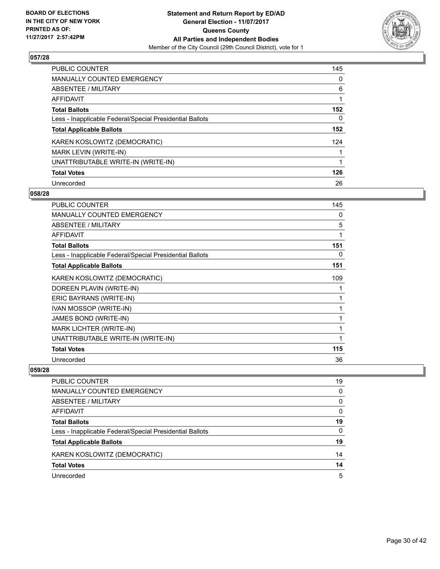

| <b>PUBLIC COUNTER</b>                                    | 145 |
|----------------------------------------------------------|-----|
| MANUALLY COUNTED EMERGENCY                               | 0   |
| ABSENTEE / MILITARY                                      | 6   |
| AFFIDAVIT                                                |     |
| <b>Total Ballots</b>                                     | 152 |
| Less - Inapplicable Federal/Special Presidential Ballots | 0   |
| <b>Total Applicable Ballots</b>                          | 152 |
| KAREN KOSLOWITZ (DEMOCRATIC)                             | 124 |
| MARK LEVIN (WRITE-IN)                                    |     |
| UNATTRIBUTABLE WRITE-IN (WRITE-IN)                       |     |
| <b>Total Votes</b>                                       | 126 |
| Unrecorded                                               | 26  |

#### **058/28**

| <b>PUBLIC COUNTER</b>                                    | 145 |
|----------------------------------------------------------|-----|
| MANUALLY COUNTED EMERGENCY                               | 0   |
| <b>ABSENTEE / MILITARY</b>                               | 5   |
| <b>AFFIDAVIT</b>                                         | 1   |
| <b>Total Ballots</b>                                     | 151 |
| Less - Inapplicable Federal/Special Presidential Ballots | 0   |
| <b>Total Applicable Ballots</b>                          | 151 |
| KAREN KOSLOWITZ (DEMOCRATIC)                             | 109 |
| DOREEN PLAVIN (WRITE-IN)                                 | 1   |
| ERIC BAYRANS (WRITE-IN)                                  | 1   |
| IVAN MOSSOP (WRITE-IN)                                   | 1   |
| JAMES BOND (WRITE-IN)                                    | 1   |
| MARK LICHTER (WRITE-IN)                                  | 1   |
| UNATTRIBUTABLE WRITE-IN (WRITE-IN)                       | 1   |
| <b>Total Votes</b>                                       | 115 |
| Unrecorded                                               | 36  |

| PUBLIC COUNTER                                           | 19 |
|----------------------------------------------------------|----|
| <b>MANUALLY COUNTED EMERGENCY</b>                        | 0  |
| <b>ABSENTEE / MILITARY</b>                               | 0  |
| AFFIDAVIT                                                | 0  |
| <b>Total Ballots</b>                                     | 19 |
| Less - Inapplicable Federal/Special Presidential Ballots | 0  |
| <b>Total Applicable Ballots</b>                          | 19 |
| KAREN KOSLOWITZ (DEMOCRATIC)                             | 14 |
| <b>Total Votes</b>                                       | 14 |
| Unrecorded                                               | 5  |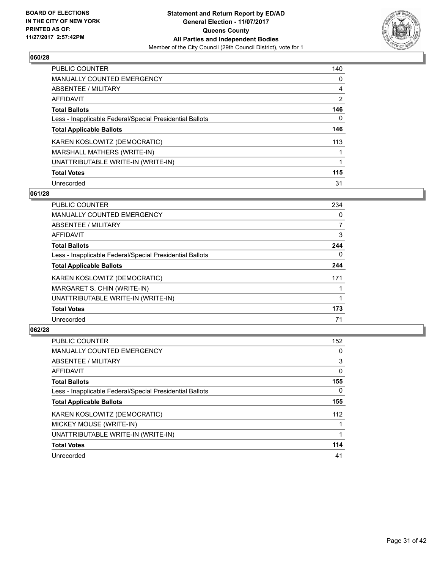

| <b>PUBLIC COUNTER</b>                                    | 140            |
|----------------------------------------------------------|----------------|
| <b>MANUALLY COUNTED EMERGENCY</b>                        | 0              |
| ABSENTEE / MILITARY                                      | 4              |
| <b>AFFIDAVIT</b>                                         | $\overline{2}$ |
| <b>Total Ballots</b>                                     | 146            |
| Less - Inapplicable Federal/Special Presidential Ballots | 0              |
| <b>Total Applicable Ballots</b>                          | 146            |
| KAREN KOSLOWITZ (DEMOCRATIC)                             | 113            |
| MARSHALL MATHERS (WRITE-IN)                              |                |
| UNATTRIBUTABLE WRITE-IN (WRITE-IN)                       |                |
| <b>Total Votes</b>                                       | 115            |
| Unrecorded                                               | 31             |

## **061/28**

| <b>PUBLIC COUNTER</b>                                    | 234 |
|----------------------------------------------------------|-----|
| <b>MANUALLY COUNTED EMERGENCY</b>                        | 0   |
| ABSENTEE / MILITARY                                      | 7   |
| <b>AFFIDAVIT</b>                                         | 3   |
| <b>Total Ballots</b>                                     | 244 |
| Less - Inapplicable Federal/Special Presidential Ballots | 0   |
| <b>Total Applicable Ballots</b>                          | 244 |
| KAREN KOSLOWITZ (DEMOCRATIC)                             | 171 |
| MARGARET S. CHIN (WRITE-IN)                              |     |
| UNATTRIBUTABLE WRITE-IN (WRITE-IN)                       |     |
| <b>Total Votes</b>                                       | 173 |
| Unrecorded                                               | 71  |

| <b>PUBLIC COUNTER</b>                                    | 152 |
|----------------------------------------------------------|-----|
| <b>MANUALLY COUNTED EMERGENCY</b>                        | 0   |
| ABSENTEE / MILITARY                                      | 3   |
| <b>AFFIDAVIT</b>                                         | 0   |
| <b>Total Ballots</b>                                     | 155 |
| Less - Inapplicable Federal/Special Presidential Ballots | 0   |
| <b>Total Applicable Ballots</b>                          | 155 |
| KAREN KOSLOWITZ (DEMOCRATIC)                             | 112 |
| MICKEY MOUSE (WRITE-IN)                                  |     |
| UNATTRIBUTABLE WRITE-IN (WRITE-IN)                       |     |
| <b>Total Votes</b>                                       | 114 |
| Unrecorded                                               | 41  |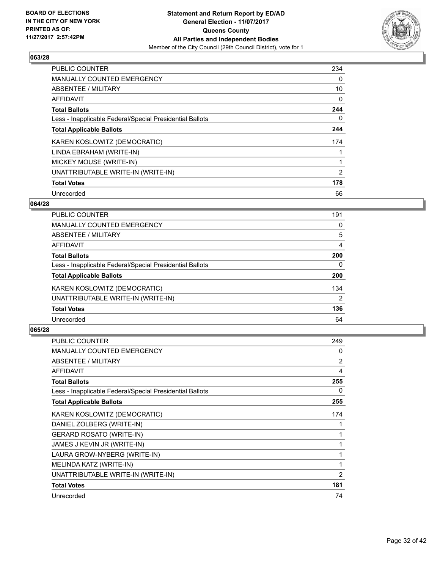

| <b>PUBLIC COUNTER</b>                                    | 234 |
|----------------------------------------------------------|-----|
| <b>MANUALLY COUNTED EMERGENCY</b>                        | 0   |
| ABSENTEE / MILITARY                                      | 10  |
| <b>AFFIDAVIT</b>                                         | 0   |
| <b>Total Ballots</b>                                     | 244 |
| Less - Inapplicable Federal/Special Presidential Ballots | 0   |
| <b>Total Applicable Ballots</b>                          | 244 |
| KAREN KOSLOWITZ (DEMOCRATIC)                             | 174 |
| LINDA EBRAHAM (WRITE-IN)                                 |     |
| MICKEY MOUSE (WRITE-IN)                                  |     |
| UNATTRIBUTABLE WRITE-IN (WRITE-IN)                       | 2   |
| <b>Total Votes</b>                                       | 178 |
| Unrecorded                                               | 66  |

## **064/28**

| 191 |
|-----|
| 0   |
| 5   |
| 4   |
| 200 |
| 0   |
| 200 |
| 134 |
| 2   |
| 136 |
| 64  |
|     |

| <b>PUBLIC COUNTER</b>                                    | 249 |
|----------------------------------------------------------|-----|
| <b>MANUALLY COUNTED EMERGENCY</b>                        | 0   |
| ABSENTEE / MILITARY                                      | 2   |
| <b>AFFIDAVIT</b>                                         | 4   |
| <b>Total Ballots</b>                                     | 255 |
| Less - Inapplicable Federal/Special Presidential Ballots | 0   |
| <b>Total Applicable Ballots</b>                          | 255 |
| KAREN KOSLOWITZ (DEMOCRATIC)                             | 174 |
| DANIEL ZOLBERG (WRITE-IN)                                |     |
| <b>GERARD ROSATO (WRITE-IN)</b>                          | 1   |
| JAMES J KEVIN JR (WRITE-IN)                              | 1   |
| LAURA GROW-NYBERG (WRITE-IN)                             | 1   |
| MELINDA KATZ (WRITE-IN)                                  | 1   |
| UNATTRIBUTABLE WRITE-IN (WRITE-IN)                       | 2   |
| <b>Total Votes</b>                                       | 181 |
| Unrecorded                                               | 74  |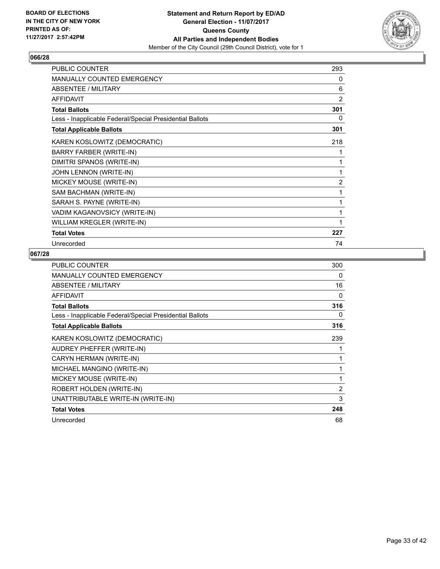

| <b>PUBLIC COUNTER</b>                                    | 293            |
|----------------------------------------------------------|----------------|
| <b>MANUALLY COUNTED EMERGENCY</b>                        | 0              |
| <b>ABSENTEE / MILITARY</b>                               | 6              |
| <b>AFFIDAVIT</b>                                         | $\overline{2}$ |
| <b>Total Ballots</b>                                     | 301            |
| Less - Inapplicable Federal/Special Presidential Ballots | 0              |
| <b>Total Applicable Ballots</b>                          | 301            |
| KAREN KOSLOWITZ (DEMOCRATIC)                             | 218            |
| BARRY FARBER (WRITE-IN)                                  | 1              |
| DIMITRI SPANOS (WRITE-IN)                                | 1              |
| JOHN LENNON (WRITE-IN)                                   | 1              |
| MICKEY MOUSE (WRITE-IN)                                  | $\overline{2}$ |
| SAM BACHMAN (WRITE-IN)                                   | 1              |
| SARAH S. PAYNE (WRITE-IN)                                | 1              |
| VADIM KAGANOVSICY (WRITE-IN)                             | 1              |
| WILLIAM KREGLER (WRITE-IN)                               | 1              |
| <b>Total Votes</b>                                       | 227            |
| Unrecorded                                               | 74             |

| <b>PUBLIC COUNTER</b>                                    | 300      |
|----------------------------------------------------------|----------|
| MANUALLY COUNTED EMERGENCY                               | 0        |
| ABSENTEE / MILITARY                                      | 16       |
| <b>AFFIDAVIT</b>                                         | $\Omega$ |
| <b>Total Ballots</b>                                     | 316      |
| Less - Inapplicable Federal/Special Presidential Ballots | 0        |
| <b>Total Applicable Ballots</b>                          | 316      |
| KAREN KOSLOWITZ (DEMOCRATIC)                             | 239      |
| AUDREY PHEFFER (WRITE-IN)                                |          |
| CARYN HERMAN (WRITE-IN)                                  |          |
| MICHAEL MANGINO (WRITE-IN)                               | 1        |
| MICKEY MOUSE (WRITE-IN)                                  | 1        |
| ROBERT HOLDEN (WRITE-IN)                                 | 2        |
| UNATTRIBUTABLE WRITE-IN (WRITE-IN)                       | 3        |
| <b>Total Votes</b>                                       | 248      |
| Unrecorded                                               | 68       |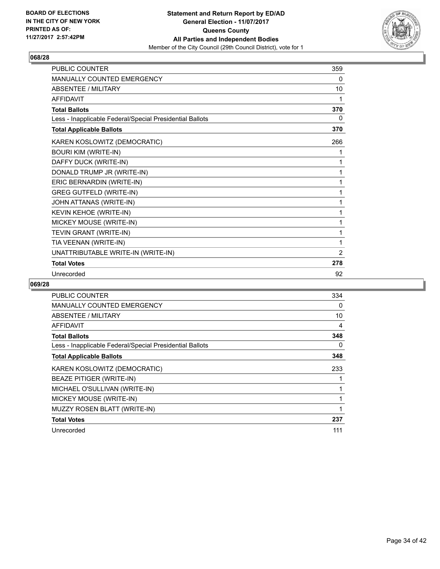

| PUBLIC COUNTER                                           | 359            |
|----------------------------------------------------------|----------------|
| <b>MANUALLY COUNTED EMERGENCY</b>                        | 0              |
| <b>ABSENTEE / MILITARY</b>                               | 10             |
| <b>AFFIDAVIT</b>                                         | 1              |
| <b>Total Ballots</b>                                     | 370            |
| Less - Inapplicable Federal/Special Presidential Ballots | 0              |
| <b>Total Applicable Ballots</b>                          | 370            |
| KAREN KOSLOWITZ (DEMOCRATIC)                             | 266            |
| <b>BOURI KIM (WRITE-IN)</b>                              | 1              |
| DAFFY DUCK (WRITE-IN)                                    | 1              |
| DONALD TRUMP JR (WRITE-IN)                               | 1              |
| ERIC BERNARDIN (WRITE-IN)                                | 1              |
| <b>GREG GUTFELD (WRITE-IN)</b>                           | 1              |
| JOHN ATTANAS (WRITE-IN)                                  | 1              |
| KEVIN KEHOE (WRITE-IN)                                   | 1              |
| MICKEY MOUSE (WRITE-IN)                                  | 1              |
| TEVIN GRANT (WRITE-IN)                                   | 1              |
| TIA VEENAN (WRITE-IN)                                    | 1              |
| UNATTRIBUTABLE WRITE-IN (WRITE-IN)                       | $\overline{2}$ |
| <b>Total Votes</b>                                       | 278            |
| Unrecorded                                               | 92             |

| <b>PUBLIC COUNTER</b>                                    | 334 |
|----------------------------------------------------------|-----|
| <b>MANUALLY COUNTED EMERGENCY</b>                        | 0   |
| <b>ABSENTEE / MILITARY</b>                               | 10  |
| AFFIDAVIT                                                | 4   |
| <b>Total Ballots</b>                                     | 348 |
| Less - Inapplicable Federal/Special Presidential Ballots | 0   |
| <b>Total Applicable Ballots</b>                          | 348 |
| KAREN KOSLOWITZ (DEMOCRATIC)                             | 233 |
| <b>BEAZE PITIGER (WRITE-IN)</b>                          |     |
| MICHAEL O'SULLIVAN (WRITE-IN)                            |     |
| MICKEY MOUSE (WRITE-IN)                                  |     |
| <b>MUZZY ROSEN BLATT (WRITE-IN)</b>                      |     |
| <b>Total Votes</b>                                       | 237 |
| Unrecorded                                               | 111 |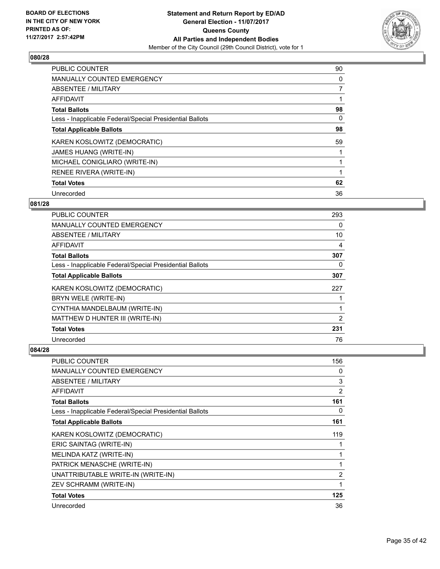

| <b>PUBLIC COUNTER</b>                                    | 90 |
|----------------------------------------------------------|----|
| <b>MANUALLY COUNTED EMERGENCY</b>                        | 0  |
| <b>ABSENTEE / MILITARY</b>                               | 7  |
| <b>AFFIDAVIT</b>                                         |    |
| <b>Total Ballots</b>                                     | 98 |
| Less - Inapplicable Federal/Special Presidential Ballots | 0  |
| <b>Total Applicable Ballots</b>                          | 98 |
| KAREN KOSLOWITZ (DEMOCRATIC)                             | 59 |
| JAMES HUANG (WRITE-IN)                                   |    |
| MICHAEL CONIGLIARO (WRITE-IN)                            |    |
| RENEE RIVERA (WRITE-IN)                                  |    |
| <b>Total Votes</b>                                       | 62 |
| Unrecorded                                               | 36 |

# **081/28**

| <b>PUBLIC COUNTER</b>                                    | 293 |
|----------------------------------------------------------|-----|
| <b>MANUALLY COUNTED EMERGENCY</b>                        | 0   |
| ABSENTEE / MILITARY                                      | 10  |
| AFFIDAVIT                                                | 4   |
| <b>Total Ballots</b>                                     | 307 |
| Less - Inapplicable Federal/Special Presidential Ballots | 0   |
| <b>Total Applicable Ballots</b>                          | 307 |
| KAREN KOSLOWITZ (DEMOCRATIC)                             | 227 |
| BRYN WELE (WRITE-IN)                                     |     |
| CYNTHIA MANDELBAUM (WRITE-IN)                            |     |
| MATTHEW D HUNTER III (WRITE-IN)                          | 2   |
| <b>Total Votes</b>                                       | 231 |
| Unrecorded                                               | 76  |

| <b>PUBLIC COUNTER</b>                                    | 156            |
|----------------------------------------------------------|----------------|
| <b>MANUALLY COUNTED EMERGENCY</b>                        | 0              |
| <b>ABSENTEE / MILITARY</b>                               | 3              |
| AFFIDAVIT                                                | $\overline{2}$ |
| <b>Total Ballots</b>                                     | 161            |
| Less - Inapplicable Federal/Special Presidential Ballots | 0              |
| <b>Total Applicable Ballots</b>                          | 161            |
| KAREN KOSLOWITZ (DEMOCRATIC)                             | 119            |
| ERIC SAINTAG (WRITE-IN)                                  |                |
| MELINDA KATZ (WRITE-IN)                                  |                |
| PATRICK MENASCHE (WRITE-IN)                              |                |
| UNATTRIBUTABLE WRITE-IN (WRITE-IN)                       | 2              |
| ZEV SCHRAMM (WRITE-IN)                                   | 1              |
| <b>Total Votes</b>                                       | 125            |
| Unrecorded                                               | 36             |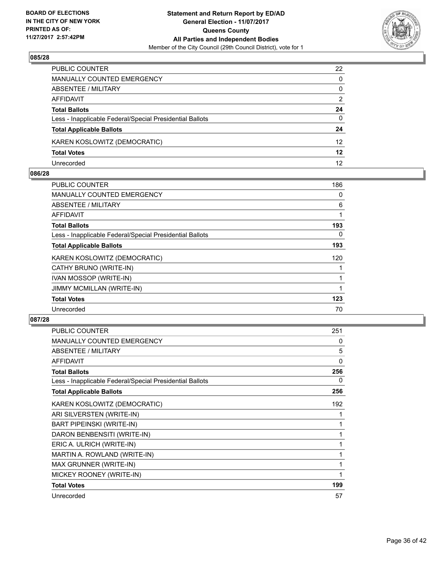

| PUBLIC COUNTER                                           | 22              |
|----------------------------------------------------------|-----------------|
| MANUALLY COUNTED EMERGENCY                               | 0               |
| ABSENTEE / MILITARY                                      | 0               |
| AFFIDAVIT                                                | 2               |
| <b>Total Ballots</b>                                     | 24              |
| Less - Inapplicable Federal/Special Presidential Ballots | $\Omega$        |
| <b>Total Applicable Ballots</b>                          | 24              |
| KAREN KOSLOWITZ (DEMOCRATIC)                             | 12 <sup>2</sup> |
| <b>Total Votes</b>                                       | $12 \,$         |
| Unrecorded                                               | 12              |

#### **086/28**

| <b>PUBLIC COUNTER</b>                                    | 186 |
|----------------------------------------------------------|-----|
| MANUALLY COUNTED EMERGENCY                               | 0   |
| ABSENTEE / MILITARY                                      | 6   |
| AFFIDAVIT                                                | 1   |
| <b>Total Ballots</b>                                     | 193 |
| Less - Inapplicable Federal/Special Presidential Ballots | 0   |
| <b>Total Applicable Ballots</b>                          | 193 |
| KAREN KOSLOWITZ (DEMOCRATIC)                             | 120 |
| CATHY BRUNO (WRITE-IN)                                   |     |
| IVAN MOSSOP (WRITE-IN)                                   | 1   |
| JIMMY MCMILLAN (WRITE-IN)                                | 1   |
| <b>Total Votes</b>                                       | 123 |
| Unrecorded                                               | 70  |
|                                                          |     |

| <b>PUBLIC COUNTER</b>                                    | 251 |
|----------------------------------------------------------|-----|
| MANUALLY COUNTED EMERGENCY                               | 0   |
| ABSENTEE / MILITARY                                      | 5   |
| <b>AFFIDAVIT</b>                                         | 0   |
| <b>Total Ballots</b>                                     | 256 |
| Less - Inapplicable Federal/Special Presidential Ballots | 0   |
| <b>Total Applicable Ballots</b>                          | 256 |
| KAREN KOSLOWITZ (DEMOCRATIC)                             | 192 |
| ARI SILVERSTEN (WRITE-IN)                                | 1   |
| <b>BART PIPEINSKI (WRITE-IN)</b>                         | 1   |
| DARON BENBENSITI (WRITE-IN)                              |     |
| ERIC A. ULRICH (WRITE-IN)                                | 1   |
| MARTIN A. ROWLAND (WRITE-IN)                             | 1   |
| MAX GRUNNER (WRITE-IN)                                   |     |
| MICKEY ROONEY (WRITE-IN)                                 | 1   |
| <b>Total Votes</b>                                       | 199 |
| Unrecorded                                               | 57  |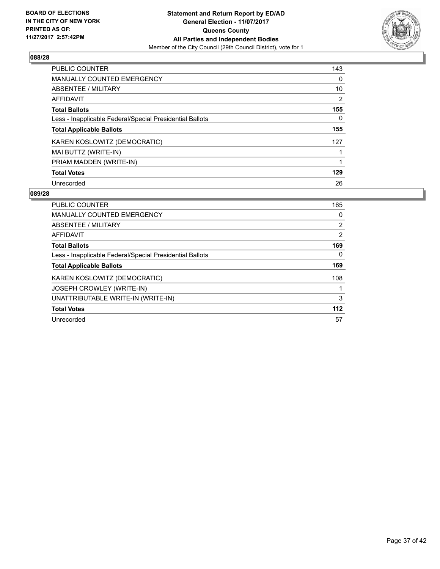

| <b>PUBLIC COUNTER</b>                                    | 143            |
|----------------------------------------------------------|----------------|
| <b>MANUALLY COUNTED EMERGENCY</b>                        | 0              |
| ABSENTEE / MILITARY                                      | 10             |
| <b>AFFIDAVIT</b>                                         | $\overline{2}$ |
| <b>Total Ballots</b>                                     | 155            |
| Less - Inapplicable Federal/Special Presidential Ballots | 0              |
| <b>Total Applicable Ballots</b>                          | 155            |
| KAREN KOSLOWITZ (DEMOCRATIC)                             | 127            |
| MAI BUTTZ (WRITE-IN)                                     |                |
| PRIAM MADDEN (WRITE-IN)                                  |                |
| <b>Total Votes</b>                                       | 129            |
| Unrecorded                                               | 26             |

| <b>PUBLIC COUNTER</b>                                    | 165            |
|----------------------------------------------------------|----------------|
| <b>MANUALLY COUNTED EMERGENCY</b>                        | 0              |
| ABSENTEE / MILITARY                                      | $\overline{2}$ |
| AFFIDAVIT                                                | $\overline{2}$ |
| <b>Total Ballots</b>                                     | 169            |
| Less - Inapplicable Federal/Special Presidential Ballots | 0              |
| <b>Total Applicable Ballots</b>                          | 169            |
| KAREN KOSLOWITZ (DEMOCRATIC)                             | 108            |
| <b>JOSEPH CROWLEY (WRITE-IN)</b>                         |                |
| UNATTRIBUTABLE WRITE-IN (WRITE-IN)                       | 3              |
| <b>Total Votes</b>                                       | 112            |
| Unrecorded                                               | 57             |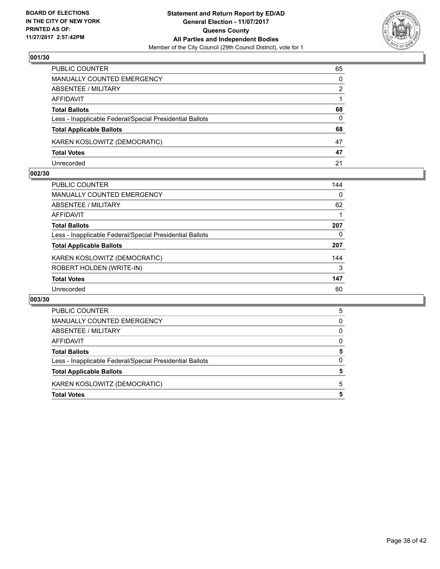

| PUBLIC COUNTER                                           | 65       |
|----------------------------------------------------------|----------|
| <b>MANUALLY COUNTED EMERGENCY</b>                        | $\Omega$ |
| <b>ABSENTEE / MILITARY</b>                               | 2        |
| AFFIDAVIT                                                |          |
| <b>Total Ballots</b>                                     | 68       |
| Less - Inapplicable Federal/Special Presidential Ballots | 0        |
| <b>Total Applicable Ballots</b>                          | 68       |
| KAREN KOSLOWITZ (DEMOCRATIC)                             | 47       |
| <b>Total Votes</b>                                       | 47       |
| Unrecorded                                               | 21       |

#### **002/30**

| PUBLIC COUNTER                                           | 144 |
|----------------------------------------------------------|-----|
| MANUALLY COUNTED EMERGENCY                               | 0   |
| ABSENTEE / MILITARY                                      | 62  |
| AFFIDAVIT                                                |     |
| <b>Total Ballots</b>                                     | 207 |
| Less - Inapplicable Federal/Special Presidential Ballots | 0   |
| <b>Total Applicable Ballots</b>                          | 207 |
| KAREN KOSLOWITZ (DEMOCRATIC)                             | 144 |
| ROBERT HOLDEN (WRITE-IN)                                 | 3   |
| <b>Total Votes</b>                                       | 147 |
| Unrecorded                                               | 60  |
|                                                          |     |

| PUBLIC COUNTER                                           | 5 |
|----------------------------------------------------------|---|
| MANUALLY COUNTED EMERGENCY                               | 0 |
| ABSENTEE / MILITARY                                      | 0 |
| AFFIDAVIT                                                | 0 |
| <b>Total Ballots</b>                                     | 5 |
| Less - Inapplicable Federal/Special Presidential Ballots | 0 |
| <b>Total Applicable Ballots</b>                          | 5 |
| KAREN KOSLOWITZ (DEMOCRATIC)                             | 5 |
| <b>Total Votes</b>                                       | 5 |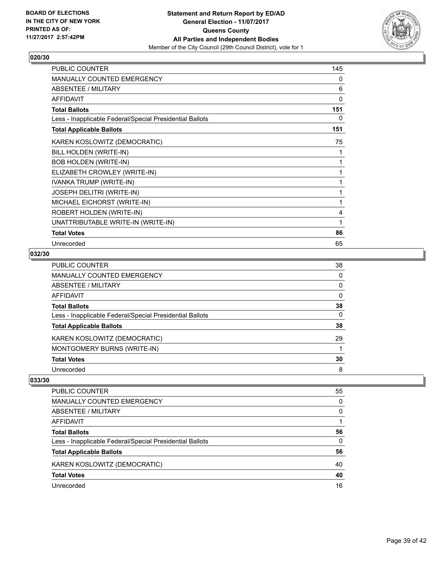

| PUBLIC COUNTER                                           | 145 |
|----------------------------------------------------------|-----|
| MANUALLY COUNTED EMERGENCY                               | 0   |
| <b>ABSENTEE / MILITARY</b>                               | 6   |
| <b>AFFIDAVIT</b>                                         | 0   |
| <b>Total Ballots</b>                                     | 151 |
| Less - Inapplicable Federal/Special Presidential Ballots | 0   |
| <b>Total Applicable Ballots</b>                          | 151 |
| KAREN KOSLOWITZ (DEMOCRATIC)                             | 75  |
| BILL HOLDEN (WRITE-IN)                                   | 1   |
| <b>BOB HOLDEN (WRITE-IN)</b>                             | 1   |
| ELIZABETH CROWLEY (WRITE-IN)                             | 1   |
| IVANKA TRUMP (WRITE-IN)                                  | 1   |
| JOSEPH DELITRI (WRITE-IN)                                | 1   |
| MICHAEL EICHORST (WRITE-IN)                              | 1   |
| ROBERT HOLDEN (WRITE-IN)                                 | 4   |
| UNATTRIBUTABLE WRITE-IN (WRITE-IN)                       | 1   |
| <b>Total Votes</b>                                       | 86  |
| Unrecorded                                               | 65  |

# **032/30**

| PUBLIC COUNTER                                           | 38 |
|----------------------------------------------------------|----|
| MANUALLY COUNTED EMERGENCY                               | 0  |
| ABSENTEE / MILITARY                                      | 0  |
| AFFIDAVIT                                                | 0  |
| Total Ballots                                            | 38 |
| Less - Inapplicable Federal/Special Presidential Ballots | 0  |
| <b>Total Applicable Ballots</b>                          | 38 |
| KAREN KOSLOWITZ (DEMOCRATIC)                             | 29 |
| MONTGOMERY BURNS (WRITE-IN)                              |    |
| <b>Total Votes</b>                                       | 30 |
| Unrecorded                                               | 8  |

| PUBLIC COUNTER                                           | 55 |
|----------------------------------------------------------|----|
| MANUALLY COUNTED EMERGENCY                               | 0  |
| ABSENTEE / MILITARY                                      | 0  |
| AFFIDAVIT                                                |    |
| <b>Total Ballots</b>                                     | 56 |
| Less - Inapplicable Federal/Special Presidential Ballots | 0  |
| <b>Total Applicable Ballots</b>                          | 56 |
| KAREN KOSLOWITZ (DEMOCRATIC)                             | 40 |
| <b>Total Votes</b>                                       | 40 |
| Unrecorded                                               | 16 |
|                                                          |    |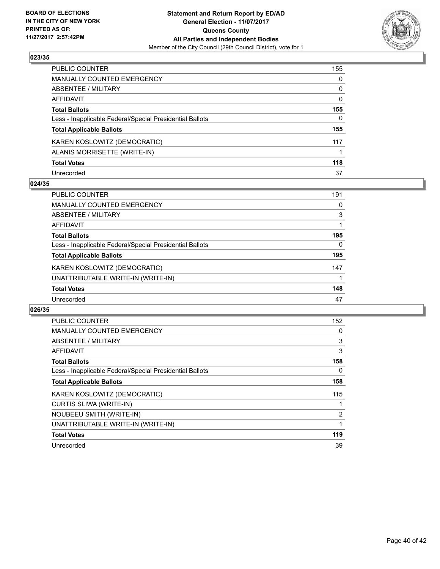

| PUBLIC COUNTER                                           | 155 |
|----------------------------------------------------------|-----|
| <b>MANUALLY COUNTED EMERGENCY</b>                        | 0   |
| ABSENTEE / MILITARY                                      | 0   |
| <b>AFFIDAVIT</b>                                         | 0   |
| <b>Total Ballots</b>                                     | 155 |
| Less - Inapplicable Federal/Special Presidential Ballots | 0   |
| <b>Total Applicable Ballots</b>                          | 155 |
| KAREN KOSLOWITZ (DEMOCRATIC)                             | 117 |
| ALANIS MORRISETTE (WRITE-IN)                             |     |
| <b>Total Votes</b>                                       | 118 |
| Unrecorded                                               | 37  |

#### **024/35**

| <b>PUBLIC COUNTER</b>                                    | 191 |
|----------------------------------------------------------|-----|
| MANUALLY COUNTED EMERGENCY                               | 0   |
| ABSENTEE / MILITARY                                      | 3   |
| AFFIDAVIT                                                |     |
| <b>Total Ballots</b>                                     | 195 |
| Less - Inapplicable Federal/Special Presidential Ballots | 0   |
| <b>Total Applicable Ballots</b>                          | 195 |
| KAREN KOSLOWITZ (DEMOCRATIC)                             | 147 |
| UNATTRIBUTABLE WRITE-IN (WRITE-IN)                       |     |
| <b>Total Votes</b>                                       | 148 |
| Unrecorded                                               | 47  |

| PUBLIC COUNTER                                           | 152 |
|----------------------------------------------------------|-----|
| <b>MANUALLY COUNTED EMERGENCY</b>                        | 0   |
| ABSENTEE / MILITARY                                      | 3   |
| AFFIDAVIT                                                | 3   |
| <b>Total Ballots</b>                                     | 158 |
| Less - Inapplicable Federal/Special Presidential Ballots | 0   |
| <b>Total Applicable Ballots</b>                          | 158 |
| KAREN KOSLOWITZ (DEMOCRATIC)                             | 115 |
| <b>CURTIS SLIWA (WRITE-IN)</b>                           |     |
| NOUBEEU SMITH (WRITE-IN)                                 | 2   |
| UNATTRIBUTABLE WRITE-IN (WRITE-IN)                       | 1   |
| <b>Total Votes</b>                                       | 119 |
| Unrecorded                                               | 39  |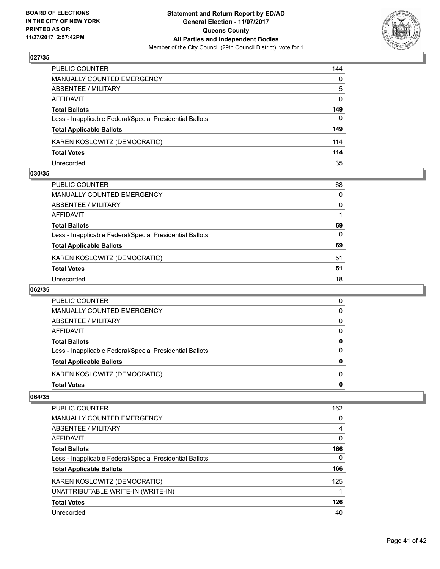

| PUBLIC COUNTER                                           | 144          |
|----------------------------------------------------------|--------------|
| <b>MANUALLY COUNTED EMERGENCY</b>                        | $\Omega$     |
| <b>ABSENTEE / MILITARY</b>                               | 5            |
| AFFIDAVIT                                                | $\mathbf{0}$ |
| <b>Total Ballots</b>                                     | 149          |
| Less - Inapplicable Federal/Special Presidential Ballots | $\Omega$     |
| <b>Total Applicable Ballots</b>                          | 149          |
| KAREN KOSLOWITZ (DEMOCRATIC)                             | 114          |
| <b>Total Votes</b>                                       | 114          |
| Unrecorded                                               | 35           |

#### **030/35**

| 68           |
|--------------|
| 0            |
| $\mathbf{0}$ |
|              |
| 69           |
| $\mathbf{0}$ |
| 69           |
| 51           |
| 51           |
| 18           |
|              |

# **062/35**

| <b>Total Votes</b>                                       | o |
|----------------------------------------------------------|---|
| KAREN KOSLOWITZ (DEMOCRATIC)                             | 0 |
| <b>Total Applicable Ballots</b>                          |   |
| Less - Inapplicable Federal/Special Presidential Ballots | 0 |
| <b>Total Ballots</b>                                     | 0 |
| AFFIDAVIT                                                | 0 |
| ABSENTEE / MILITARY                                      | 0 |
| MANUALLY COUNTED EMERGENCY                               | 0 |
| <b>PUBLIC COUNTER</b>                                    | 0 |

| <b>PUBLIC COUNTER</b>                                    | 162 |
|----------------------------------------------------------|-----|
| <b>MANUALLY COUNTED EMERGENCY</b>                        | 0   |
| <b>ABSENTEE / MILITARY</b>                               | 4   |
| AFFIDAVIT                                                | 0   |
| <b>Total Ballots</b>                                     | 166 |
| Less - Inapplicable Federal/Special Presidential Ballots | 0   |
| <b>Total Applicable Ballots</b>                          | 166 |
| KAREN KOSLOWITZ (DEMOCRATIC)                             | 125 |
| UNATTRIBUTABLE WRITE-IN (WRITE-IN)                       |     |
| <b>Total Votes</b>                                       | 126 |
| Unrecorded                                               | 40  |